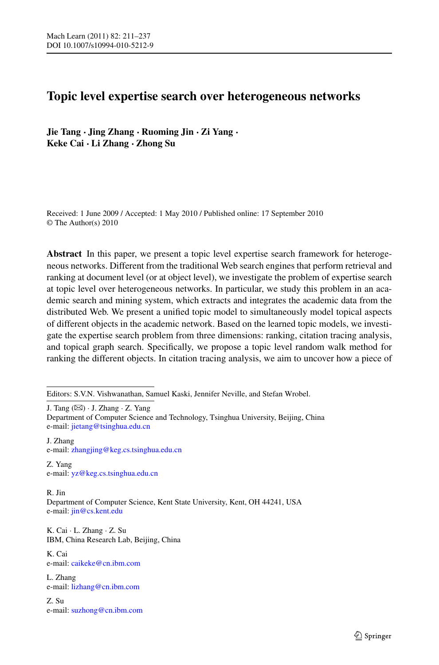# **Topic level expertise search over heterogeneous networks**

**Jie Tang · Jing Zhang · Ruoming Jin · Zi Yang · Keke Cai · Li Zhang · Zhong Su**

Received: 1 June 2009 / Accepted: 1 May 2010 / Published online: 17 September 2010 © The Author(s) 2010

**Abstract** In this paper, we present a topic level expertise search framework for heterogeneous networks. Different from the traditional Web search engines that perform retrieval and ranking at document level (or at object level), we investigate the problem of expertise search at topic level over heterogeneous networks. In particular, we study this problem in an academic search and mining system, which extracts and integrates the academic data from the distributed Web. We present a unified topic model to simultaneously model topical aspects of different objects in the academic network. Based on the learned topic models, we investigate the expertise search problem from three dimensions: ranking, citation tracing analysis, and topical graph search. Specifically, we propose a topic level random walk method for ranking the different objects. In citation tracing analysis, we aim to uncover how a piece of

J. Tang  $(\boxtimes)$  · J. Zhang · Z. Yang

J. Zhang e-mail: [zhangjing@keg.cs.tsinghua.edu.cn](mailto:zhangjing@keg.cs.tsinghua.edu.cn)

Z. Yang e-mail: [yz@keg.cs.tsinghua.edu.cn](mailto:yz@keg.cs.tsinghua.edu.cn)

R. Jin Department of Computer Science, Kent State University, Kent, OH 44241, USA e-mail: [jin@cs.kent.edu](mailto:jin@cs.kent.edu)

K. Cai · L. Zhang · Z. Su IBM, China Research Lab, Beijing, China

K. Cai e-mail: [caikeke@cn.ibm.com](mailto:caikeke@cn.ibm.com)

L. Zhang e-mail: [lizhang@cn.ibm.com](mailto:lizhang@cn.ibm.com)

Z. Su e-mail: [suzhong@cn.ibm.com](mailto:suzhong@cn.ibm.com)

Editors: S.V.N. Vishwanathan, Samuel Kaski, Jennifer Neville, and Stefan Wrobel.

Department of Computer Science and Technology, Tsinghua University, Beijing, China e-mail: [jietang@tsinghua.edu.cn](mailto:jietang@tsinghua.edu.cn)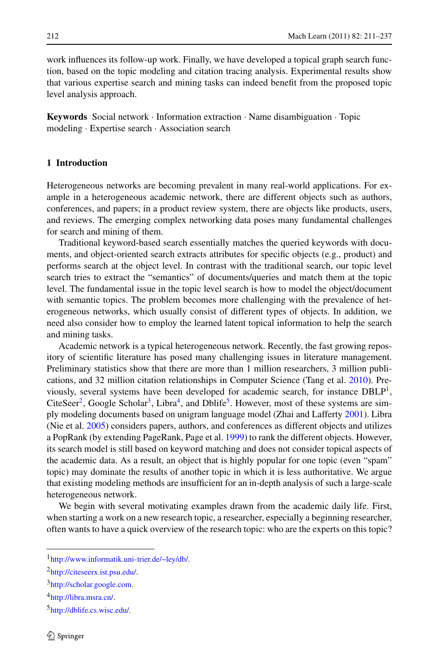work influences its follow-up work. Finally, we have developed a topical graph search function, based on the topic modeling and citation tracing analysis. Experimental results show that various expertise search and mining tasks can indeed benefit from the proposed topic level analysis approach.

**Keywords** Social network · Information extraction · Name disambiguation · Topic modeling · Expertise search · Association search

## **1 Introduction**

Heterogeneous networks are becoming prevalent in many real-world applications. For example in a heterogeneous academic network, there are different objects such as authors, conferences, and papers; in a product review system, there are objects like products, users, and reviews. The emerging complex networking data poses many fundamental challenges for search and mining of them.

Traditional keyword-based search essentially matches the queried keywords with documents, and object-oriented search extracts attributes for specific objects (e.g., product) and performs search at the object level. In contrast with the traditional search, our topic level search tries to extract the "semantics" of documents/queries and match them at the topic level. The fundamental issue in the topic level search is how to model the object/document with semantic topics. The problem becomes more challenging with the prevalence of heterogeneous networks, which usually consist of different types of objects. In addition, we need also consider how to employ the learned latent topical information to help the search and mining tasks.

Academic network is a typical heterogeneous network. Recently, the fast growing repository of scientific literature has posed many challenging issues in literature management. Preliminary statistics show that there are more than 1 million researchers, 3 million publications, and 32 million citation relationships in Computer Science (Tang et al. [2010](#page-25-0)). Previously, several systems have been developed for academic search, for instance  $DBLP<sup>1</sup>$  $DBLP<sup>1</sup>$  $DBLP<sup>1</sup>$ , CiteSeer<sup>2</sup>, Google Scholar<sup>3</sup>, Libra<sup>4</sup>, and Dblife<sup>5</sup>. However, most of these systems are simply modeling documents based on unigram language model (Zhai and Lafferty [2001](#page-26-0)). Libra (Nie et al. [2005\)](#page-25-1) considers papers, authors, and conferences as different objects and utilizes a PopRank (by extending PageRank, Page et al. [1999\)](#page-25-2) to rank the different objects. However, its search model is still based on keyword matching and does not consider topical aspects of the academic data. As a result, an object that is highly popular for one topic (even "spam" topic) may dominate the results of another topic in which it is less authoritative. We argue that existing modeling methods are insufficient for an in-depth analysis of such a large-scale heterogeneous network.

<span id="page-1-4"></span><span id="page-1-3"></span><span id="page-1-2"></span><span id="page-1-1"></span><span id="page-1-0"></span>We begin with several motivating examples drawn from the academic daily life. First, when starting a work on a new research topic, a researcher, especially a beginning researcher, often wants to have a quick overview of the research topic: who are the experts on this topic?

<sup>1</sup><http://www.informatik.uni-trier.de/~ley/db/>.

<sup>2</sup><http://citeseerx.ist.psu.edu/>.

<sup>3</sup>[http://scholar.google.com.](http://scholar.google.com)

<sup>4</sup>[http://libra.msra.cn/.](http://libra.msra.cn/)

<sup>5</sup><http://dblife.cs.wisc.edu/>.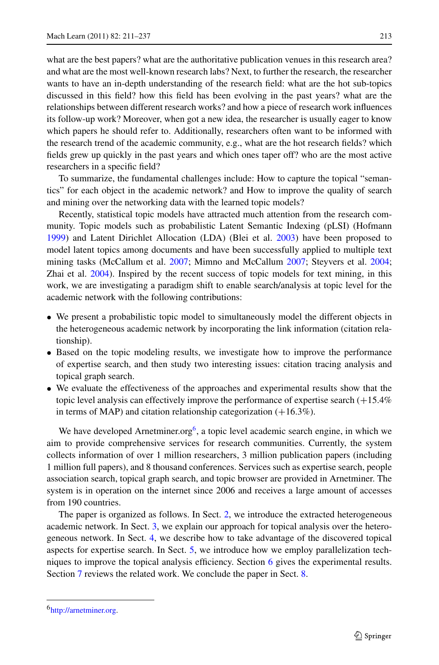what are the best papers? what are the authoritative publication venues in this research area? and what are the most well-known research labs? Next, to further the research, the researcher wants to have an in-depth understanding of the research field: what are the hot sub-topics discussed in this field? how this field has been evolving in the past years? what are the relationships between different research works? and how a piece of research work influences its follow-up work? Moreover, when got a new idea, the researcher is usually eager to know which papers he should refer to. Additionally, researchers often want to be informed with the research trend of the academic community, e.g., what are the hot research fields? which fields grew up quickly in the past years and which ones taper off? who are the most active researchers in a specific field?

To summarize, the fundamental challenges include: How to capture the topical "semantics" for each object in the academic network? and How to improve the quality of search and mining over the networking data with the learned topic models?

Recently, statistical topic models have attracted much attention from the research community. Topic models such as probabilistic Latent Semantic Indexing (pLSI) (Hofmann [1999\)](#page-24-0) and Latent Dirichlet Allocation (LDA) (Blei et al. [2003\)](#page-24-1) have been proposed to model latent topics among documents and have been successfully applied to multiple text mining tasks (McCallum et al. [2007;](#page-25-3) Mimno and McCallum [2007](#page-25-4); Steyvers et al. [2004;](#page-25-5) Zhai et al. [2004](#page-26-1)). Inspired by the recent success of topic models for text mining, in this work, we are investigating a paradigm shift to enable search/analysis at topic level for the academic network with the following contributions:

- We present a probabilistic topic model to simultaneously model the different objects in the heterogeneous academic network by incorporating the link information (citation relationship).
- Based on the topic modeling results, we investigate how to improve the performance of expertise search, and then study two interesting issues: citation tracing analysis and topical graph search.
- We evaluate the effectiveness of the approaches and experimental results show that the topic level analysis can effectively improve the performance of expertise search (+15.4% in terms of MAP) and citation relationship categorization  $(+16.3\%)$ .

We have developed Arnetminer.org<sup>6</sup>, a topic level academic search engine, in which we aim to provide comprehensive services for research communities. Currently, the system collects information of over 1 million researchers, 3 million publication papers (including 1 million full papers), and 8 thousand conferences. Services such as expertise search, people association search, topical graph search, and topic browser are provided in Arnetminer. The system is in operation on the internet since 2006 and receives a large amount of accesses from 190 countries.

<span id="page-2-0"></span>The paper is organized as follows. In Sect. [2](#page-3-0), we introduce the extracted heterogeneous academic network. In Sect. [3](#page-4-0), we explain our approach for topical analysis over the heterogeneous network. In Sect. [4](#page-8-0), we describe how to take advantage of the discovered topical aspects for expertise search. In Sect. [5,](#page-15-0) we introduce how we employ parallelization techniques to improve the topical analysis efficiency. Section [6](#page-16-0) gives the experimental results. Section [7](#page-22-0) reviews the related work. We conclude the paper in Sect. [8](#page-24-2).

<sup>6</sup><http://arnetminer.org>.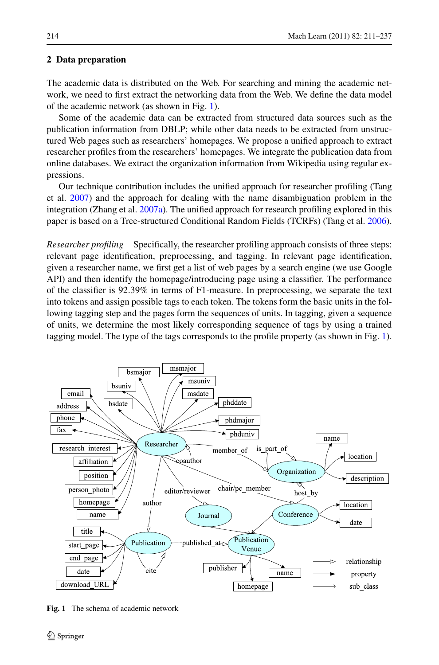## <span id="page-3-0"></span>**2 Data preparation**

The academic data is distributed on the Web. For searching and mining the academic network, we need to first extract the networking data from the Web. We define the data model of the academic network (as shown in Fig. [1](#page-3-1)).

Some of the academic data can be extracted from structured data sources such as the publication information from DBLP; while other data needs to be extracted from unstructured Web pages such as researchers' homepages. We propose a unified approach to extract researcher profiles from the researchers' homepages. We integrate the publication data from online databases. We extract the organization information from Wikipedia using regular expressions.

Our technique contribution includes the unified approach for researcher profiling (Tang et al. [2007](#page-25-6)) and the approach for dealing with the name disambiguation problem in the integration (Zhang et al. [2007a\)](#page-26-2). The unified approach for research profiling explored in this paper is based on a Tree-structured Conditional Random Fields (TCRFs) (Tang et al. [2006](#page-25-7)).

*Researcher profiling* Specifically, the researcher profiling approach consists of three steps: relevant page identification, preprocessing, and tagging. In relevant page identification, given a researcher name, we first get a list of web pages by a search engine (we use Google API) and then identify the homepage/introducing page using a classifier. The performance of the classifier is 92*.*39% in terms of F1-measure. In preprocessing, we separate the text into tokens and assign possible tags to each token. The tokens form the basic units in the following tagging step and the pages form the sequences of units. In tagging, given a sequence of units, we determine the most likely corresponding sequence of tags by using a trained tagging model. The type of the tags corresponds to the profile property (as shown in Fig. [1](#page-3-1)).



<span id="page-3-1"></span>**Fig. 1** The schema of academic network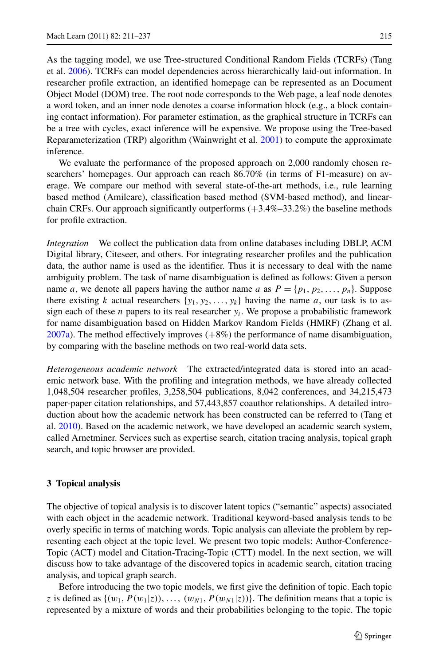As the tagging model, we use Tree-structured Conditional Random Fields (TCRFs) (Tang et al. [2006](#page-25-7)). TCRFs can model dependencies across hierarchically laid-out information. In researcher profile extraction, an identified homepage can be represented as an Document Object Model (DOM) tree. The root node corresponds to the Web page, a leaf node denotes a word token, and an inner node denotes a coarse information block (e.g., a block containing contact information). For parameter estimation, as the graphical structure in TCRFs can be a tree with cycles, exact inference will be expensive. We propose using the Tree-based Reparameterization (TRP) algorithm (Wainwright et al. [2001\)](#page-25-8) to compute the approximate inference.

We evaluate the performance of the proposed approach on 2,000 randomly chosen researchers' homepages. Our approach can reach 86.70% (in terms of F1-measure) on average. We compare our method with several state-of-the-art methods, i.e., rule learning based method (Amilcare), classification based method (SVM-based method), and linearchain CRFs. Our approach significantly outperforms  $(+3.4\%-33.2\%)$  the baseline methods for profile extraction.

*Integration* We collect the publication data from online databases including DBLP, ACM Digital library, Citeseer, and others. For integrating researcher profiles and the publication data, the author name is used as the identifier. Thus it is necessary to deal with the name ambiguity problem. The task of name disambiguation is defined as follows: Given a person name *a*, we denote all papers having the author name *a* as  $P = \{p_1, p_2, \ldots, p_n\}$ . Suppose there existing *k* actual researchers  $\{y_1, y_2, \ldots, y_k\}$  having the name *a*, our task is to assign each of these *n* papers to its real researcher  $y_i$ . We propose a probabilistic framework for name disambiguation based on Hidden Markov Random Fields (HMRF) (Zhang et al.  $2007a$ ). The method effectively improves  $(+8%)$  the performance of name disambiguation, by comparing with the baseline methods on two real-world data sets.

<span id="page-4-0"></span>*Heterogeneous academic network* The extracted/integrated data is stored into an academic network base. With the profiling and integration methods, we have already collected 1,048,504 researcher profiles, 3,258,504 publications, 8,042 conferences, and 34,215,473 paper-paper citation relationships, and 57,443,857 coauthor relationships. A detailed introduction about how the academic network has been constructed can be referred to (Tang et al. [2010\)](#page-25-0). Based on the academic network, we have developed an academic search system, called Arnetminer. Services such as expertise search, citation tracing analysis, topical graph search, and topic browser are provided.

## **3 Topical analysis**

The objective of topical analysis is to discover latent topics ("semantic" aspects) associated with each object in the academic network. Traditional keyword-based analysis tends to be overly specific in terms of matching words. Topic analysis can alleviate the problem by representing each object at the topic level. We present two topic models: Author-Conference-Topic (ACT) model and Citation-Tracing-Topic (CTT) model. In the next section, we will discuss how to take advantage of the discovered topics in academic search, citation tracing analysis, and topical graph search.

Before introducing the two topic models, we first give the definition of topic. Each topic *z* is defined as  $\{(w_1, P(w_1|z)), \ldots, (w_{N1}, P(w_N|z))\}$ . The definition means that a topic is represented by a mixture of words and their probabilities belonging to the topic. The topic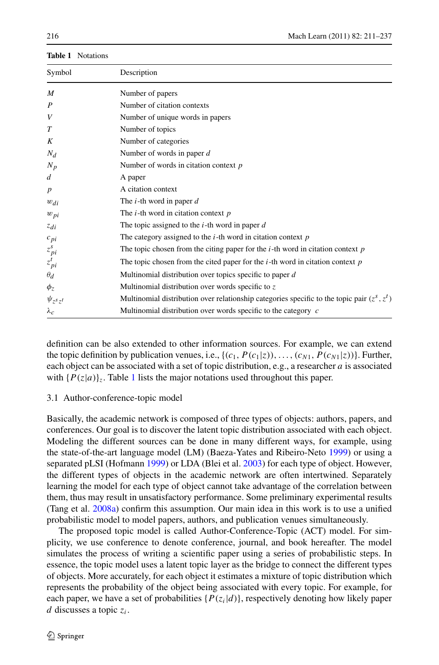| Symbol           | Description                                                                                   |
|------------------|-----------------------------------------------------------------------------------------------|
| M                | Number of papers                                                                              |
| $\boldsymbol{P}$ | Number of citation contexts                                                                   |
| V                | Number of unique words in papers                                                              |
| T                | Number of topics                                                                              |
| K                | Number of categories                                                                          |
| $N_d$            | Number of words in paper $d$                                                                  |
| $N_p$            | Number of words in citation context $p$                                                       |
| d                | A paper                                                                                       |
| $\boldsymbol{p}$ | A citation context                                                                            |
| $w_{di}$         | The $i$ -th word in paper $d$                                                                 |
| $w_{pi}$         | The $i$ -th word in citation context $p$                                                      |
| $z_{di}$         | The topic assigned to the $i$ -th word in paper $d$                                           |
| $c_{pi}$         | The category assigned to the $i$ -th word in citation context $p$                             |
| $z_{pi}^s$       | The topic chosen from the citing paper for the $i$ -th word in citation context $p$           |
| $z_{pi}^t$       | The topic chosen from the cited paper for the $i$ -th word in citation context $p$            |
| $\theta_d$       | Multinomial distribution over topics specific to paper d                                      |
| $\phi_z$         | Multinomial distribution over words specific to $\zeta$                                       |
| $\psi_{z^sz^t}$  | Multinomial distribution over relationship categories specific to the topic pair $(z^s, z^t)$ |
| $\lambda_c$      | Multinomial distribution over words specific to the category $c$                              |

<span id="page-5-0"></span>**Table 1** Notations

definition can be also extended to other information sources. For example, we can extend the topic definition by publication venues, i.e.,  $\{(c_1, P(c_1|z)), \ldots, (c_N, P(c_N|z))\}$ . Further, each object can be associated with a set of topic distribution, e.g., a researcher *a* is associated with  ${P(z|a)}_z$ . Table [1](#page-5-0) lists the major notations used throughout this paper.

#### 3.1 Author-conference-topic model

Basically, the academic network is composed of three types of objects: authors, papers, and conferences. Our goal is to discover the latent topic distribution associated with each object. Modeling the different sources can be done in many different ways, for example, using the state-of-the-art language model (LM) (Baeza-Yates and Ribeiro-Neto [1999](#page-24-3)) or using a separated pLSI (Hofmann [1999\)](#page-24-0) or LDA (Blei et al. [2003](#page-24-1)) for each type of object. However, the different types of objects in the academic network are often intertwined. Separately learning the model for each type of object cannot take advantage of the correlation between them, thus may result in unsatisfactory performance. Some preliminary experimental results (Tang et al. [2008a](#page-25-9)) confirm this assumption. Our main idea in this work is to use a unified probabilistic model to model papers, authors, and publication venues simultaneously.

The proposed topic model is called Author-Conference-Topic (ACT) model. For simplicity, we use conference to denote conference, journal, and book hereafter. The model simulates the process of writing a scientific paper using a series of probabilistic steps. In essence, the topic model uses a latent topic layer as the bridge to connect the different types of objects. More accurately, for each object it estimates a mixture of topic distribution which represents the probability of the object being associated with every topic. For example, for each paper, we have a set of probabilities  $\{P(z_i|d)\}$ , respectively denoting how likely paper *d* discusses a topic *zi*.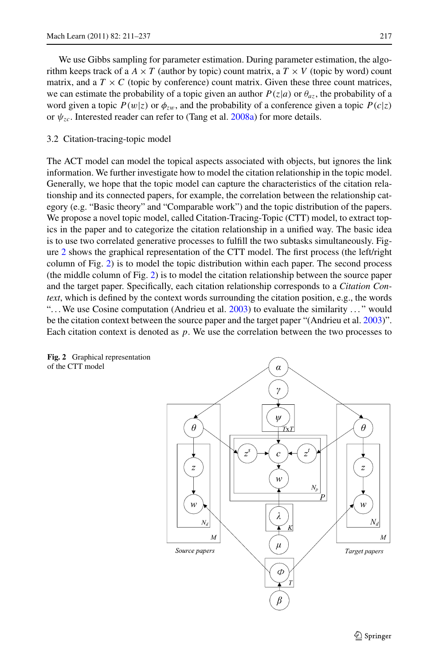We use Gibbs sampling for parameter estimation. During parameter estimation, the algorithm keeps track of a  $A \times T$  (author by topic) count matrix, a  $T \times V$  (topic by word) count matrix, and a  $T \times C$  (topic by conference) count matrix. Given these three count matrices, we can estimate the probability of a topic given an author  $P(z|a)$  or  $\theta_{az}$ , the probability of a word given a topic  $P(w|z)$  or  $\phi_{zw}$ , and the probability of a conference given a topic  $P(c|z)$ or  $\psi_{zc}$ . Interested reader can refer to (Tang et al. [2008a](#page-25-9)) for more details.

# 3.2 Citation-tracing-topic model

The ACT model can model the topical aspects associated with objects, but ignores the link information. We further investigate how to model the citation relationship in the topic model. Generally, we hope that the topic model can capture the characteristics of the citation relationship and its connected papers, for example, the correlation between the relationship category (e.g. "Basic theory" and "Comparable work") and the topic distribution of the papers. We propose a novel topic model, called Citation-Tracing-Topic (CTT) model, to extract topics in the paper and to categorize the citation relationship in a unified way. The basic idea is to use two correlated generative processes to fulfill the two subtasks simultaneously. Figure [2](#page-6-0) shows the graphical representation of the CTT model. The first process (the left/right column of Fig. [2](#page-6-0)) is to model the topic distribution within each paper. The second process (the middle column of Fig. [2](#page-6-0)) is to model the citation relationship between the source paper and the target paper. Specifically, each citation relationship corresponds to a *Citation Context*, which is defined by the context words surrounding the citation position, e.g., the words ". . . We use Cosine computation (Andrieu et al. [2003](#page-24-4)) to evaluate the similarity . . . " would be the citation context between the source paper and the target paper "(Andrieu et al. [2003\)](#page-24-4)". Each citation context is denoted as  $p$ . We use the correlation between the two processes to



<span id="page-6-0"></span>**Fig. 2** Graphical representation of the CTT model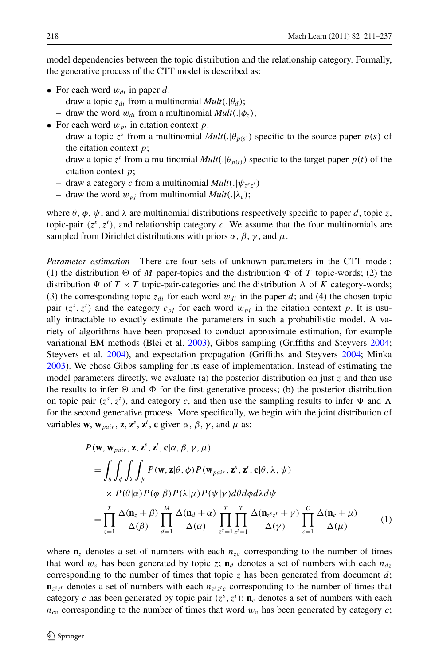model dependencies between the topic distribution and the relationship category. Formally, the generative process of the CTT model is described as:

- For each word  $w_{di}$  in paper  $d$ :
	- $-$  draw a topic  $z_{di}$  from a multinomial *Mult* $(.\vert \theta_d)$ ;
	- draw the word  $w_{di}$  from a multinomial  $Mult(.|\phi_z);$
- For each word  $w_{pi}$  in citation context  $p$ :
	- draw a topic  $z^s$  from a multinomial *Mult*( $\theta_{p(s)}$ ) specific to the source paper  $p(s)$  of the citation context *p*;
	- draw a topic  $z^t$  from a multinomial  $Mult(.)\theta_{p(t)})$  specific to the target paper  $p(t)$  of the citation context *p*;
	- draw a category *c* from a multinomial  $Mult(.)\psi_{z^s z^t})$
	- draw the word  $w_{pi}$  from multinomial  $Mult(.|\lambda_c);$

where  $\theta$ ,  $\phi$ ,  $\psi$ , and  $\lambda$  are multinomial distributions respectively specific to paper *d*, topic *z*, topic-pair  $(z^s, z^t)$ , and relationship category *c*. We assume that the four multinomials are sampled from Dirichlet distributions with priors  $\alpha$ ,  $\beta$ ,  $\gamma$ , and  $\mu$ .

*Parameter estimation* There are four sets of unknown parameters in the CTT model: (1) the distribution  $\Theta$  of *M* paper-topics and the distribution  $\Phi$  of *T* topic-words; (2) the distribution  $\Psi$  of  $T \times T$  topic-pair-categories and the distribution  $\Lambda$  of K category-words; (3) the corresponding topic  $z_{di}$  for each word  $w_{di}$  in the paper *d*; and (4) the chosen topic pair  $(z^s, z^t)$  and the category  $c_{pj}$  for each word  $w_{pj}$  in the citation context p. It is usually intractable to exactly estimate the parameters in such a probabilistic model. A variety of algorithms have been proposed to conduct approximate estimation, for example variational EM methods (Blei et al. [2003](#page-24-1)), Gibbs sampling (Griffiths and Steyvers [2004;](#page-24-5) Steyvers et al. [2004\)](#page-25-5), and expectation propagation (Griffiths and Steyvers [2004](#page-24-5); Minka [2003\)](#page-25-10). We chose Gibbs sampling for its ease of implementation. Instead of estimating the model parameters directly, we evaluate (a) the posterior distribution on just *z* and then use the results to infer  $\Theta$  and  $\Phi$  for the first generative process; (b) the posterior distribution on topic pair  $(z^s, z^t)$ , and category *c*, and then use the sampling results to infer  $\Psi$  and  $\Lambda$ for the second generative process. More specifically, we begin with the joint distribution of variables **w**,  $\mathbf{w}_{pair}$ , **z**,  $\mathbf{z}^s$ ,  $\mathbf{z}^t$ , **c** given  $\alpha$ ,  $\beta$ ,  $\gamma$ , and  $\mu$  as:

$$
P(\mathbf{w}, \mathbf{w}_{pair}, \mathbf{z}, \mathbf{z}^{s}, \mathbf{z}^{l}, \mathbf{c} | \alpha, \beta, \gamma, \mu)
$$
  
= 
$$
\int_{\theta} \int_{\phi} \int_{\lambda} \int_{\psi} P(\mathbf{w}, \mathbf{z} | \theta, \phi) P(\mathbf{w}_{pair}, \mathbf{z}^{s}, \mathbf{z}^{l}, \mathbf{c} | \theta, \lambda, \psi)
$$
  

$$
\times P(\theta | \alpha) P(\phi | \beta) P(\lambda | \mu) P(\psi | \gamma) d\theta d\phi d\lambda d\psi
$$
  
= 
$$
\prod_{z=1}^{T} \frac{\Delta(\mathbf{n}_{z} + \beta)}{\Delta(\beta)} \prod_{d=1}^{M} \frac{\Delta(\mathbf{n}_{d} + \alpha)}{\Delta(\alpha)} \prod_{z^{s}=1}^{T} \prod_{z^{l}=1}^{T} \frac{\Delta(\mathbf{n}_{z^{s}z^{l}} + \gamma)}{\Delta(\gamma)} \prod_{c=1}^{C} \frac{\Delta(\mathbf{n}_{c} + \mu)}{\Delta(\mu)}
$$
(1)

where  $\mathbf{n}_z$  denotes a set of numbers with each  $n_{zw}$  corresponding to the number of times that word  $w_v$  has been generated by topic *z*;  $\mathbf{n}_d$  denotes a set of numbers with each  $n_{dz}$ corresponding to the number of times that topic  $z$  has been generated from document  $d$ ;  $\mathbf{n}_{z^s z^t}$  denotes a set of numbers with each  $n_{z^s z^t c}$  corresponding to the number of times that category *c* has been generated by topic pair  $(z^s, z^t)$ ;  $\mathbf{n}_c$  denotes a set of numbers with each  $n_{cv}$  corresponding to the number of times that word  $w_v$  has been generated by category *c*;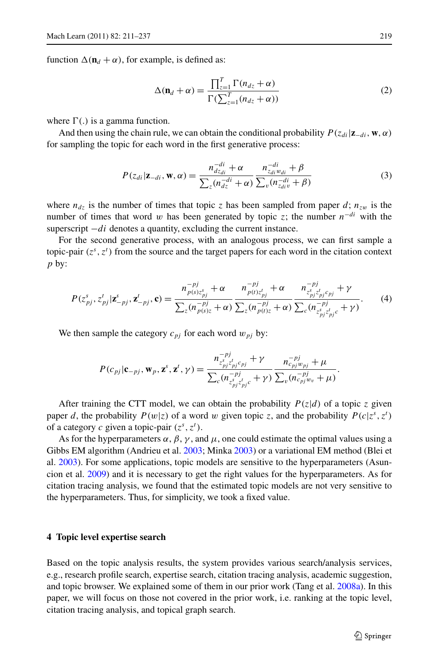function  $\Delta(\mathbf{n}_d + \alpha)$ , for example, is defined as:

$$
\Delta(\mathbf{n}_d + \alpha) = \frac{\prod_{z=1}^T \Gamma(n_{dz} + \alpha)}{\Gamma(\sum_{z=1}^T (n_{dz} + \alpha))}
$$
(2)

where  $\Gamma$ (.) is a gamma function.

And then using the chain rule, we can obtain the conditional probability  $P(z_d|\mathbf{z}_{-d}, \mathbf{w}, \alpha)$ for sampling the topic for each word in the first generative process:

$$
P(z_{di}|\mathbf{z}_{-di}, \mathbf{w}, \alpha) = \frac{n_{dz_{di}}^{-di} + \alpha}{\sum_{z} (n_{dz}^{-di} + \alpha)} \frac{n_{z_{di}}^{-di} + \beta}{\sum_{v} (n_{z_{di}}^{-di} + \beta)}
$$
(3)

where  $n_{dz}$  is the number of times that topic *z* has been sampled from paper *d*;  $n_{zw}$  is the number of times that word *w* has been generated by topic *z*; the number *n*<sup>−</sup>*di* with the superscript  $−di$  denotes a quantity, excluding the current instance.

For the second generative process, with an analogous process, we can first sample a topic-pair  $(z^s, z^t)$  from the source and the target papers for each word in the citation context *p* by:

$$
P(z_{pj}^s, z_{pj}^t | \mathbf{z}_{-pj}^s, \mathbf{z}_{-pj}^t, \mathbf{c}) = \frac{n_{p(s)z_{pj}^s}^{-pj} + \alpha}{\sum_{z} (n_{p(s)z}^{-pj} + \alpha)} \frac{n_{p(t)z_{pj}^t}^{-pj} + \alpha}{\sum_{z} (n_{p(t)z}^{-pj} + \alpha)} \frac{n_{z_{pj}^s z_{pj}^t c_{pj}}^{-pj} + \gamma}{\sum_{c} (n_{z_{pj}^s z_{pj}^t c_{pj}}^{-pj} + \gamma)}.
$$
(4)

We then sample the category  $c_{pj}$  for each word  $w_{pj}$  by:

$$
P(c_{pj}|\mathbf{c}_{-pj}, \mathbf{w}_p, \mathbf{z}^s, \mathbf{z}^t, \gamma) = \frac{n_{z_{pj}^s z_{pj}^t c_{pj}}^{-pj} + \gamma}{\sum_{c} (n_{z_{pj}^s z_{pj}^t c_{pj}}^{-pj} + \gamma)} \frac{n_{c_{pj}w_{pj}}^{-pj} + \mu}{\sum_{v} (n_{c_{pj}w_v}^{-pj} + \mu)}.
$$

After training the CTT model, we can obtain the probability  $P(z|d)$  of a topic *z* given paper *d*, the probability  $P(w|z)$  of a word *w* given topic *z*, and the probability  $P(c|z^s, z^t)$ of a category *c* given a topic-pair  $(z^s, z^t)$ .

<span id="page-8-0"></span>As for the hyperparameters  $\alpha$ ,  $\beta$ ,  $\gamma$ , and  $\mu$ , one could estimate the optimal values using a Gibbs EM algorithm (Andrieu et al. [2003;](#page-24-4) Minka [2003](#page-25-10)) or a variational EM method (Blei et al. [2003\)](#page-24-1). For some applications, topic models are sensitive to the hyperparameters (Asuncion et al. [2009](#page-24-6)) and it is necessary to get the right values for the hyperparameters. As for citation tracing analysis, we found that the estimated topic models are not very sensitive to the hyperparameters. Thus, for simplicity, we took a fixed value.

#### **4 Topic level expertise search**

Based on the topic analysis results, the system provides various search/analysis services, e.g., research profile search, expertise search, citation tracing analysis, academic suggestion, and topic browser. We explained some of them in our prior work (Tang et al. [2008a\)](#page-25-9). In this paper, we will focus on those not covered in the prior work, i.e. ranking at the topic level, citation tracing analysis, and topical graph search.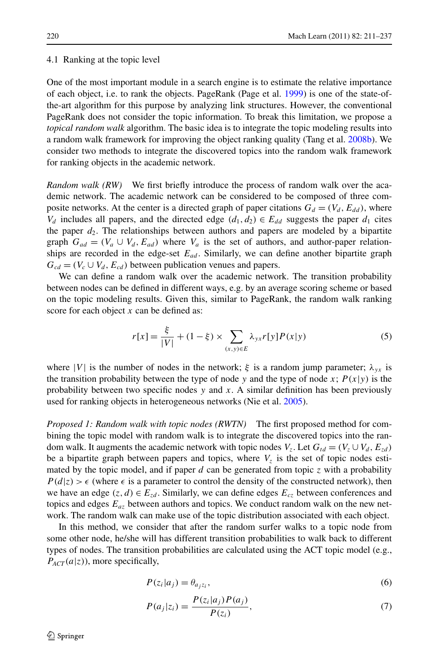# 4.1 Ranking at the topic level

One of the most important module in a search engine is to estimate the relative importance of each object, i.e. to rank the objects. PageRank (Page et al. [1999\)](#page-25-2) is one of the state-ofthe-art algorithm for this purpose by analyzing link structures. However, the conventional PageRank does not consider the topic information. To break this limitation, we propose a *topical random walk* algorithm. The basic idea is to integrate the topic modeling results into a random walk framework for improving the object ranking quality (Tang et al. [2008b](#page-25-11)). We consider two methods to integrate the discovered topics into the random walk framework for ranking objects in the academic network.

*Random walk (RW)* We first briefly introduce the process of random walk over the academic network. The academic network can be considered to be composed of three composite networks. At the center is a directed graph of paper citations  $G_d = (V_d, E_{dd})$ , where *V<sub>d</sub>* includes all papers, and the directed edge  $(d_1, d_2) \in E_{dd}$  suggests the paper  $d_1$  cites the paper  $d_2$ . The relationships between authors and papers are modeled by a bipartite graph  $G_{ad} = (V_a \cup V_d, E_{ad})$  where  $V_a$  is the set of authors, and author-paper relationships are recorded in the edge-set  $E_{ad}$ . Similarly, we can define another bipartite graph  $G_{cd} = (V_c \cup V_d, E_{cd})$  between publication venues and papers.

We can define a random walk over the academic network. The transition probability between nodes can be defined in different ways, e.g. by an average scoring scheme or based on the topic modeling results. Given this, similar to PageRank, the random walk ranking score for each object *x* can be defined as:

$$
r[x] = \frac{\xi}{|V|} + (1 - \xi) \times \sum_{(x,y)\in E} \lambda_{yx} r[y] P(x|y)
$$
 (5)

where |*V*| is the number of nodes in the network;  $\xi$  is a random jump parameter;  $\lambda_{vx}$  is the transition probability between the type of node *y* and the type of node *x*;  $P(x|y)$  is the probability between two specific nodes *y* and *x*. A similar definition has been previously used for ranking objects in heterogeneous networks (Nie et al. [2005](#page-25-1)).

*Proposed 1: Random walk with topic nodes (RWTN)* The first proposed method for combining the topic model with random walk is to integrate the discovered topics into the random walk. It augments the academic network with topic nodes  $V_z$ . Let  $G_{td} = (V_z \cup V_d, E_{zd})$ be a bipartite graph between papers and topics, where  $V<sub>z</sub>$  is the set of topic nodes estimated by the topic model, and if paper  $d$  can be generated from topic  $z$  with a probability  $P(d|z) > \epsilon$  (where  $\epsilon$  is a parameter to control the density of the constructed network), then we have an edge  $(z, d) \in E_{z,d}$ . Similarly, we can define edges  $E_{cz}$  between conferences and topics and edges *Eaz* between authors and topics. We conduct random walk on the new network. The random walk can make use of the topic distribution associated with each object.

In this method, we consider that after the random surfer walks to a topic node from some other node, he/she will has different transition probabilities to walk back to different types of nodes. The transition probabilities are calculated using the ACT topic model (e.g.,  $P_{ACT}(a|z)$ , more specifically,

$$
P(z_i|a_j) = \theta_{a_j z_i},\tag{6}
$$

$$
P(a_j|z_i) = \frac{P(z_i|a_j)P(a_j)}{P(z_i)},
$$
\n(7)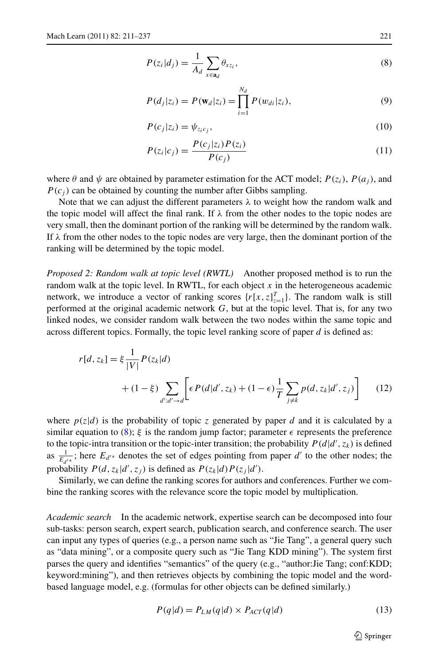<span id="page-10-0"></span>
$$
P(z_i|d_j) = \frac{1}{A_d} \sum_{x \in \mathbf{a}_d} \theta_{xz_i},
$$
\n(8)

$$
P(d_j|z_i) = P(\mathbf{w}_d|z_i) = \prod_{i=1}^{N_d} P(w_{di}|z_i),
$$
\n(9)

$$
P(c_j|z_i) = \psi_{z_i c_j},\tag{10}
$$

$$
P(z_i|c_j) = \frac{P(c_j|z_i)P(z_i)}{P(c_j)}
$$
\n
$$
(11)
$$

where  $\theta$  and  $\psi$  are obtained by parameter estimation for the ACT model;  $P(z_i)$ ,  $P(a_i)$ , and  $P(c_i)$  can be obtained by counting the number after Gibbs sampling.

Note that we can adjust the different parameters  $\lambda$  to weight how the random walk and the topic model will affect the final rank. If  $\lambda$  from the other nodes to the topic nodes are very small, then the dominant portion of the ranking will be determined by the random walk. If *λ* from the other nodes to the topic nodes are very large, then the dominant portion of the ranking will be determined by the topic model.

*Proposed 2: Random walk at topic level (RWTL)* Another proposed method is to run the random walk at the topic level. In RWTL, for each object *x* in the heterogeneous academic network, we introduce a vector of ranking scores  $\{r[x, z]_{z=1}^T\}$ . The random walk is still performed at the original academic network *G*, but at the topic level. That is, for any two linked nodes, we consider random walk between the two nodes within the same topic and across different topics. Formally, the topic level ranking score of paper *d* is defined as:

$$
r[d, z_k] = \xi \frac{1}{|V|} P(z_k|d)
$$
  
+  $(1 - \xi) \sum_{d': d' \to d} \left[ \epsilon P(d|d', z_k) + (1 - \epsilon) \frac{1}{T} \sum_{j \neq k} p(d, z_k|d', z_j) \right]$  (12)

where  $p(z|d)$  is the probability of topic *z* generated by paper *d* and it is calculated by a similar equation to [\(8\)](#page-10-0);  $\xi$  is the random jump factor; parameter  $\epsilon$  represents the preference to the topic-intra transition or the topic-inter transition; the probability  $P(d|d', z_k)$  is defined as  $\frac{1}{E_{d'*}}$ ; here  $E_{d'*}$  denotes the set of edges pointing from paper  $d'$  to the other nodes; the probability  $P(d, z_k | d', z_j)$  is defined as  $P(z_k | d) P(z_j | d').$ 

Similarly, we can define the ranking scores for authors and conferences. Further we combine the ranking scores with the relevance score the topic model by multiplication.

*Academic search* In the academic network, expertise search can be decomposed into four sub-tasks: person search, expert search, publication search, and conference search. The user can input any types of queries (e.g., a person name such as "Jie Tang", a general query such as "data mining", or a composite query such as "Jie Tang KDD mining"). The system first parses the query and identifies "semantics" of the query (e.g., "author:Jie Tang; conf:KDD; keyword:mining"), and then retrieves objects by combining the topic model and the wordbased language model, e.g. (formulas for other objects can be defined similarly.)

$$
P(q|d) = P_{LM}(q|d) \times P_{ACT}(q|d)
$$
\n(13)

 $\textcircled{2}$  Springer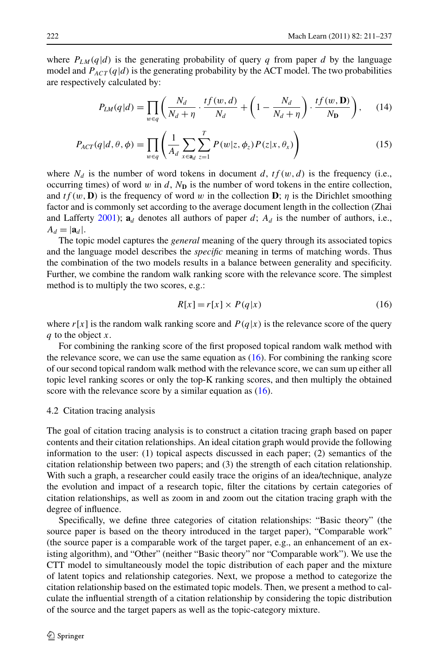where  $P_{LM}(q|d)$  is the generating probability of query *q* from paper *d* by the language model and  $P_{ACT}(q|d)$  is the generating probability by the ACT model. The two probabilities are respectively calculated by:

<span id="page-11-2"></span><span id="page-11-1"></span>
$$
P_{LM}(q|d) = \prod_{w \in q} \left( \frac{N_d}{N_d + \eta} \cdot \frac{tf(w, d)}{N_d} + \left( 1 - \frac{N_d}{N_d + \eta} \right) \cdot \frac{tf(w, \mathbf{D})}{N_{\mathbf{D}}} \right), \tag{14}
$$

$$
P_{ACT}(q|d,\theta,\phi) = \prod_{w \in q} \left( \frac{1}{A_d} \sum_{x \in \mathbf{a}_d} \sum_{z=1}^T P(w|z,\phi_z) P(z|x,\theta_x) \right) \tag{15}
$$

where  $N_d$  is the number of word tokens in document *d*,  $tf(w, d)$  is the frequency (i.e., occurring times) of word *w* in *d*,  $N<sub>D</sub>$  is the number of word tokens in the entire collection, and  $tf(w, \mathbf{D})$  is the frequency of word *w* in the collection **D**; *η* is the Dirichlet smoothing factor and is commonly set according to the average document length in the collection (Zhai and Lafferty [2001\)](#page-26-0);  $\mathbf{a}_d$  denotes all authors of paper *d*;  $A_d$  is the number of authors, i.e.,  $A_d = |\mathbf{a}_d|$ .

The topic model captures the *general* meaning of the query through its associated topics and the language model describes the *specific* meaning in terms of matching words. Thus the combination of the two models results in a balance between generality and specificity. Further, we combine the random walk ranking score with the relevance score. The simplest method is to multiply the two scores, e.g.:

<span id="page-11-0"></span>
$$
R[x] = r[x] \times P(q|x) \tag{16}
$$

where  $r[x]$  is the random walk ranking score and  $P(q|x)$  is the relevance score of the query *q* to the object *x*.

For combining the ranking score of the first proposed topical random walk method with the relevance score, we can use the same equation as  $(16)$  $(16)$  $(16)$ . For combining the ranking score of our second topical random walk method with the relevance score, we can sum up either all topic level ranking scores or only the top-K ranking scores, and then multiply the obtained score with the relevance score by a similar equation as  $(16)$ .

#### 4.2 Citation tracing analysis

The goal of citation tracing analysis is to construct a citation tracing graph based on paper contents and their citation relationships. An ideal citation graph would provide the following information to the user: (1) topical aspects discussed in each paper; (2) semantics of the citation relationship between two papers; and (3) the strength of each citation relationship. With such a graph, a researcher could easily trace the origins of an idea/technique, analyze the evolution and impact of a research topic, filter the citations by certain categories of citation relationships, as well as zoom in and zoom out the citation tracing graph with the degree of influence.

Specifically, we define three categories of citation relationships: "Basic theory" (the source paper is based on the theory introduced in the target paper), "Comparable work" (the source paper is a comparable work of the target paper, e.g., an enhancement of an existing algorithm), and "Other" (neither "Basic theory" nor "Comparable work"). We use the CTT model to simultaneously model the topic distribution of each paper and the mixture of latent topics and relationship categories. Next, we propose a method to categorize the citation relationship based on the estimated topic models. Then, we present a method to calculate the influential strength of a citation relationship by considering the topic distribution of the source and the target papers as well as the topic-category mixture.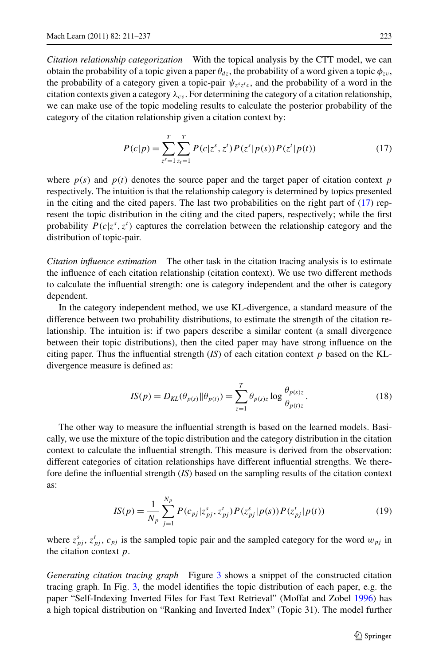<span id="page-12-0"></span>*Citation relationship categorization* With the topical analysis by the CTT model, we can obtain the probability of a topic given a paper  $\theta_{dz}$ , the probability of a word given a topic  $\phi_{zy}$ , the probability of a category given a topic-pair  $\psi_{z^s z^t c}$ , and the probability of a word in the citation contexts given a category  $\lambda_{cv}$ . For determining the category of a citation relationship, we can make use of the topic modeling results to calculate the posterior probability of the category of the citation relationship given a citation context by:

$$
P(c|p) = \sum_{z^s=1}^T \sum_{z_t=1}^T P(c|z^s, z^t) P(z^s|p(s)) P(z^t|p(t))
$$
\n(17)

where  $p(s)$  and  $p(t)$  denotes the source paper and the target paper of citation context  $p$ respectively. The intuition is that the relationship category is determined by topics presented in the citing and the cited papers. The last two probabilities on the right part of  $(17)$  $(17)$  $(17)$  represent the topic distribution in the citing and the cited papers, respectively; while the first probability  $P(c|z^s, z^t)$  captures the correlation between the relationship category and the distribution of topic-pair.

*Citation influence estimation* The other task in the citation tracing analysis is to estimate the influence of each citation relationship (citation context). We use two different methods to calculate the influential strength: one is category independent and the other is category dependent.

In the category independent method, we use KL-divergence, a standard measure of the difference between two probability distributions, to estimate the strength of the citation relationship. The intuition is: if two papers describe a similar content (a small divergence between their topic distributions), then the cited paper may have strong influence on the citing paper. Thus the influential strength (*IS*) of each citation context *p* based on the KLdivergence measure is defined as:

$$
IS(p) = D_{KL}(\theta_{p(s)} || \theta_{p(t)}) = \sum_{z=1}^{T} \theta_{p(s)z} \log \frac{\theta_{p(s)z}}{\theta_{p(t)z}}.
$$
 (18)

The other way to measure the influential strength is based on the learned models. Basically, we use the mixture of the topic distribution and the category distribution in the citation context to calculate the influential strength. This measure is derived from the observation: different categories of citation relationships have different influential strengths. We therefore define the influential strength (*IS*) based on the sampling results of the citation context as:

$$
IS(p) = \frac{1}{N_p} \sum_{j=1}^{N_p} P(c_{pj} | z_{pj}^s, z_{pj}^t) P(z_{pj}^s | p(s)) P(z_{pj}^t | p(t))
$$
\n(19)

where  $z_{pj}^s$ ,  $z_{pj}^t$ ,  $c_{pj}$  is the sampled topic pair and the sampled category for the word  $w_{pj}$  in the citation context *p*.

*Generating citation tracing graph* Figure [3](#page-13-0) shows a snippet of the constructed citation tracing graph. In Fig. [3](#page-13-0), the model identifies the topic distribution of each paper, e.g. the paper "Self-Indexing Inverted Files for Fast Text Retrieval" (Moffat and Zobel [1996\)](#page-25-12) has a high topical distribution on "Ranking and Inverted Index" (Topic 31). The model further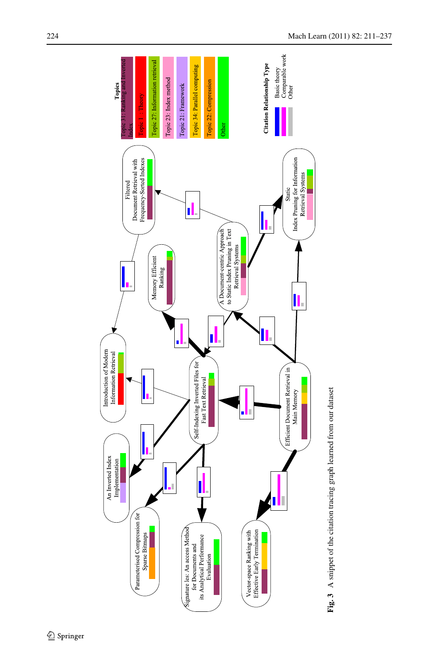<span id="page-13-0"></span>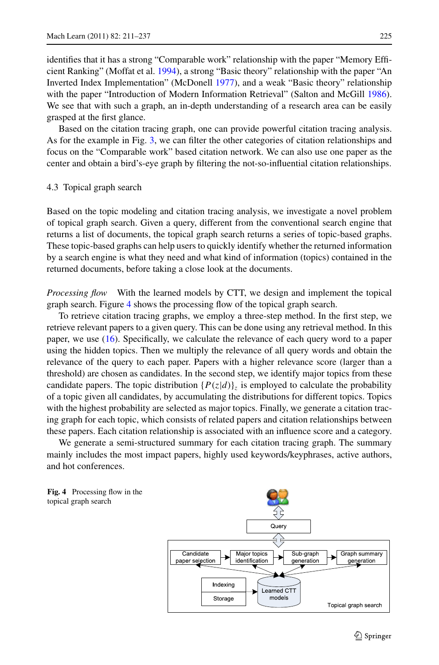identifies that it has a strong "Comparable work" relationship with the paper "Memory Efficient Ranking" (Moffat et al. [1994\)](#page-25-13), a strong "Basic theory" relationship with the paper "An Inverted Index Implementation" (McDonell [1977\)](#page-25-14), and a weak "Basic theory" relationship with the paper "Introduction of Modern Information Retrieval" (Salton and McGill [1986](#page-25-15)). We see that with such a graph, an in-depth understanding of a research area can be easily grasped at the first glance.

Based on the citation tracing graph, one can provide powerful citation tracing analysis. As for the example in Fig. [3,](#page-13-0) we can filter the other categories of citation relationships and focus on the "Comparable work" based citation network. We can also use one paper as the center and obtain a bird's-eye graph by filtering the not-so-influential citation relationships.

#### 4.3 Topical graph search

Based on the topic modeling and citation tracing analysis, we investigate a novel problem of topical graph search. Given a query, different from the conventional search engine that returns a list of documents, the topical graph search returns a series of topic-based graphs. These topic-based graphs can help users to quickly identify whether the returned information by a search engine is what they need and what kind of information (topics) contained in the returned documents, before taking a close look at the documents.

*Processing flow* With the learned models by CTT, we design and implement the topical graph search. Figure [4](#page-14-0) shows the processing flow of the topical graph search.

To retrieve citation tracing graphs, we employ a three-step method. In the first step, we retrieve relevant papers to a given query. This can be done using any retrieval method. In this paper, we use [\(16\)](#page-11-0). Specifically, we calculate the relevance of each query word to a paper using the hidden topics. Then we multiply the relevance of all query words and obtain the relevance of the query to each paper. Papers with a higher relevance score (larger than a threshold) are chosen as candidates. In the second step, we identify major topics from these candidate papers. The topic distribution  $\{P(z|d)\}_z$  is employed to calculate the probability of a topic given all candidates, by accumulating the distributions for different topics. Topics with the highest probability are selected as major topics. Finally, we generate a citation tracing graph for each topic, which consists of related papers and citation relationships between these papers. Each citation relationship is associated with an influence score and a category.

<span id="page-14-0"></span>We generate a semi-structured summary for each citation tracing graph. The summary mainly includes the most impact papers, highly used keywords/keyphrases, active authors, and hot conferences.



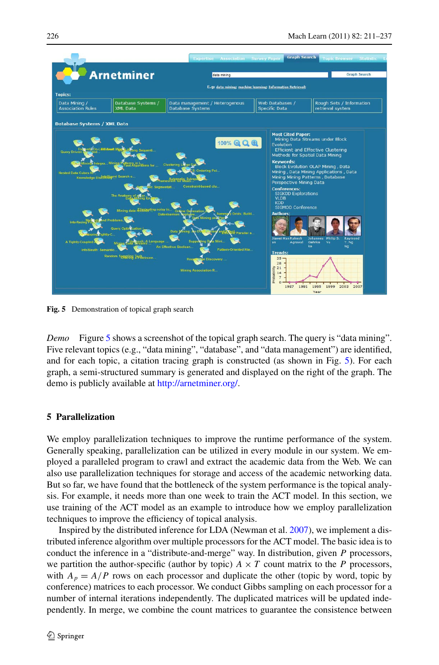

<span id="page-15-1"></span>**Fig. 5** Demonstration of topical graph search

<span id="page-15-0"></span>*Demo* Figure [5](#page-15-1) shows a screenshot of the topical graph search. The query is "data mining". Five relevant topics (e.g., "data mining", "database", and "data management") are identified, and for each topic, a citation tracing graph is constructed (as shown in Fig. [5\)](#page-15-1). For each graph, a semi-structured summary is generated and displayed on the right of the graph. The demo is publicly available at <http://arnetminer.org/>.

# **5 Parallelization**

We employ parallelization techniques to improve the runtime performance of the system. Generally speaking, parallelization can be utilized in every module in our system. We employed a paralleled program to crawl and extract the academic data from the Web. We can also use parallelization techniques for storage and access of the academic networking data. But so far, we have found that the bottleneck of the system performance is the topical analysis. For example, it needs more than one week to train the ACT model. In this section, we use training of the ACT model as an example to introduce how we employ parallelization techniques to improve the efficiency of topical analysis.

Inspired by the distributed inference for LDA (Newman et al. [2007\)](#page-25-16), we implement a distributed inference algorithm over multiple processors for the ACT model. The basic idea is to conduct the inference in a "distribute-and-merge" way. In distribution, given *P* processors, we partition the author-specific (author by topic)  $A \times T$  count matrix to the *P* processors, with  $A_p = A/P$  rows on each processor and duplicate the other (topic by word, topic by conference) matrices to each processor. We conduct Gibbs sampling on each processor for a number of internal iterations independently. The duplicated matrices will be updated independently. In merge, we combine the count matrices to guarantee the consistence between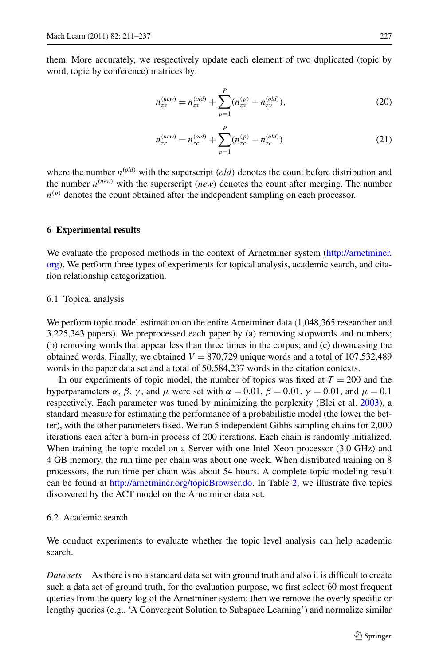them. More accurately, we respectively update each element of two duplicated (topic by word, topic by conference) matrices by:

$$
n_{zv}^{(new)} = n_{zv}^{(old)} + \sum_{p=1}^{P} (n_{zv}^{(p)} - n_{zv}^{(old)}),
$$
 (20)

$$
n_{zc}^{(new)} = n_{zc}^{(old)} + \sum_{p=1}^{P} (n_{zc}^{(p)} - n_{zc}^{(old)})
$$
\n(21)

<span id="page-16-0"></span>where the number *n(old)* with the superscript *(old)* denotes the count before distribution and the number *n(new)* with the superscript *(new)* denotes the count after merging. The number *n(p)* denotes the count obtained after the independent sampling on each processor.

## **6 Experimental results**

We evaluate the proposed methods in the context of Arnetminer system [\(http://arnetminer.](http://arnetminer.org) [org](http://arnetminer.org)). We perform three types of experiments for topical analysis, academic search, and citation relationship categorization.

## 6.1 Topical analysis

We perform topic model estimation on the entire Arnetminer data (1,048,365 researcher and 3,225,343 papers). We preprocessed each paper by (a) removing stopwords and numbers; (b) removing words that appear less than three times in the corpus; and (c) downcasing the obtained words. Finally, we obtained  $V = 870,729$  unique words and a total of 107,532,489 words in the paper data set and a total of 50,584,237 words in the citation contexts.

In our experiments of topic model, the number of topics was fixed at  $T = 200$  and the hyperparameters  $\alpha$ ,  $\beta$ ,  $\gamma$ , and  $\mu$  were set with  $\alpha = 0.01$ ,  $\beta = 0.01$ ,  $\gamma = 0.01$ , and  $\mu = 0.1$ respectively. Each parameter was tuned by minimizing the perplexity (Blei et al. [2003\)](#page-24-1), a standard measure for estimating the performance of a probabilistic model (the lower the better), with the other parameters fixed. We ran 5 independent Gibbs sampling chains for 2,000 iterations each after a burn-in process of 200 iterations. Each chain is randomly initialized. When training the topic model on a Server with one Intel Xeon processor (3.0 GHz) and 4 GB memory, the run time per chain was about one week. When distributed training on 8 processors, the run time per chain was about 54 hours. A complete topic modeling result can be found at [http://arnetminer.org/topicBrowser.do.](http://arnetminer.org/topicBrowser.do) In Table [2](#page-17-0), we illustrate five topics discovered by the ACT model on the Arnetminer data set.

# 6.2 Academic search

We conduct experiments to evaluate whether the topic level analysis can help academic search.

*Data sets* As there is no a standard data set with ground truth and also it is difficult to create such a data set of ground truth, for the evaluation purpose, we first select 60 most frequent queries from the query log of the Arnetminer system; then we remove the overly specific or lengthy queries (e.g., 'A Convergent Solution to Subspace Learning') and normalize similar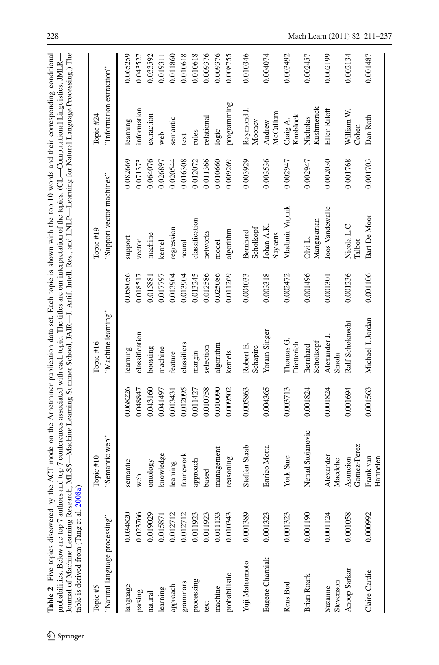<span id="page-17-0"></span>

| table is derived from (Tang et al. 2008a)<br>Journal of Machine Learning Resear |          | ch, MLSS—Machine Learning Summer School, JAIR—J. Artif. Intell. Res., and LNLP—Learning for Natural Language Processing.) The<br><b>Table 2</b> Five topics discovered by the ACT mode on the Arnetminer publication data set. Each topic is shown with the top 10 words and their corresponding conditional<br>probabilities. Below are top 7 authors and top 7 conferences associated with each topic. The titles are our interpretation of the topics. (CL—Computational Linguistics, IMLR |          |                         |          |                           |          |                          |          |
|---------------------------------------------------------------------------------|----------|-----------------------------------------------------------------------------------------------------------------------------------------------------------------------------------------------------------------------------------------------------------------------------------------------------------------------------------------------------------------------------------------------------------------------------------------------------------------------------------------------|----------|-------------------------|----------|---------------------------|----------|--------------------------|----------|
| Topic #5                                                                        |          | Topic $#10$                                                                                                                                                                                                                                                                                                                                                                                                                                                                                   |          | Topic#16                |          | Topic $#19$               |          | Topic $#24$              |          |
| "Natural language processing"                                                   |          | "Semantic web"                                                                                                                                                                                                                                                                                                                                                                                                                                                                                |          | "Machine learning"      |          | "Support vector machines" |          | "Information extraction" |          |
| language                                                                        | 0.034820 | semantic                                                                                                                                                                                                                                                                                                                                                                                                                                                                                      | 0.068226 | learning                | 0.058056 | support                   | 0.082669 | learning                 | 0.065259 |
| parsing                                                                         | 0.023766 | web                                                                                                                                                                                                                                                                                                                                                                                                                                                                                           | 0.048847 | classification          | 0.018517 | vector                    | 0.071373 | information              | 0.043527 |
| natural                                                                         | 0.019029 | ontology                                                                                                                                                                                                                                                                                                                                                                                                                                                                                      | 0.043160 | boosting                | 0.015881 | machine                   | 0.064076 | extraction               | 0.033592 |
| learning                                                                        | 0.015871 | knowledge                                                                                                                                                                                                                                                                                                                                                                                                                                                                                     | 0.041497 | machine                 | 0.017797 | kernel                    | 0.026897 | web                      | 0.019311 |
| approach                                                                        | 0.012712 | learning                                                                                                                                                                                                                                                                                                                                                                                                                                                                                      | 0.013431 | feature                 | 0.013904 | regression                | 0.020544 | semantic                 | 0.011860 |
| grammars                                                                        | 0.012712 | framework                                                                                                                                                                                                                                                                                                                                                                                                                                                                                     | 0.012095 | classifiers             | 0.013904 | neural                    | 0.016308 | text                     | 0.010618 |
| processing                                                                      | 0.011923 | approach                                                                                                                                                                                                                                                                                                                                                                                                                                                                                      | 0.011427 | margin                  | 0.013245 | classification            | 0.012072 | rules                    | 0.010618 |
| text                                                                            | 0.011923 | based                                                                                                                                                                                                                                                                                                                                                                                                                                                                                         | 0.010758 | selection               | 0.012586 | networks                  | 0.011366 | relational               | 0.009376 |
| machine                                                                         | 0.011133 | management                                                                                                                                                                                                                                                                                                                                                                                                                                                                                    | 0.010090 | algorithm               | 0.025086 | model                     | 0.010660 | logic                    | 0.009376 |
| probabilistic                                                                   | 0.010343 | reasoning                                                                                                                                                                                                                                                                                                                                                                                                                                                                                     | 0.009502 | kernels                 | 0.011269 | algorithm                 | 0.009269 | programming              | 0.008755 |
| Yuji Matsumoto                                                                  | 0.001389 | Steffen Staab                                                                                                                                                                                                                                                                                                                                                                                                                                                                                 | 0.005863 | Robert E.<br>Schapire   | 0.004033 | Scholkopf<br>Bernhard     | 0.003929 | Raymond J.<br>Mooney     | 0.010346 |
| Eugene Charniak                                                                 | 0.001323 | Enrico Motta                                                                                                                                                                                                                                                                                                                                                                                                                                                                                  | 0.004365 | Yoram Singer            | 0.003318 | Johan A.K.<br>Suykens     | 0.003536 | McCallum<br>Andrew       | 0.004074 |
| Rens Bod                                                                        | 0.001323 | York Sure                                                                                                                                                                                                                                                                                                                                                                                                                                                                                     | 0.003713 | Thomas G.<br>Dietterich | 0.002472 | Vladimir Vapnik           | 0.002947 | Knoblock<br>Craig A.     | 0.003492 |
| <b>Brian Roark</b>                                                              | 0.001190 | Nenad Stojanovic                                                                                                                                                                                                                                                                                                                                                                                                                                                                              | 0.001824 | Scholkopf<br>Bernhard   | 0.001496 | Mangasarian<br>Olvi L.    | 0.002947 | Kushmerick<br>Nicholas   | 0.002457 |
| Stevenson<br>Suzanne                                                            | 0.001124 | Alexander<br>Maedche                                                                                                                                                                                                                                                                                                                                                                                                                                                                          | 0.001824 | Alexander<br>Smola      | 0.001301 | Joos Vandewalle           | 0.002030 | Ellen Riloff             | 0.002199 |
| Anoop Sarkar                                                                    | 0.001058 | Gomez-Perez<br>Asuncion                                                                                                                                                                                                                                                                                                                                                                                                                                                                       | 0.001694 | Ralf Schoknecht         | 0.001236 | Nicola L.C.<br>Talbot     | 0.001768 | William W.<br>Cohen      | 0.002134 |
| Claire Cardie                                                                   | 0.000992 | Frank van<br>Harmelen                                                                                                                                                                                                                                                                                                                                                                                                                                                                         | 0.001563 | Michael I. Jordan       | 0.001106 | Bart De Moor              | 0.001703 | Dan Roth                 | 0.001487 |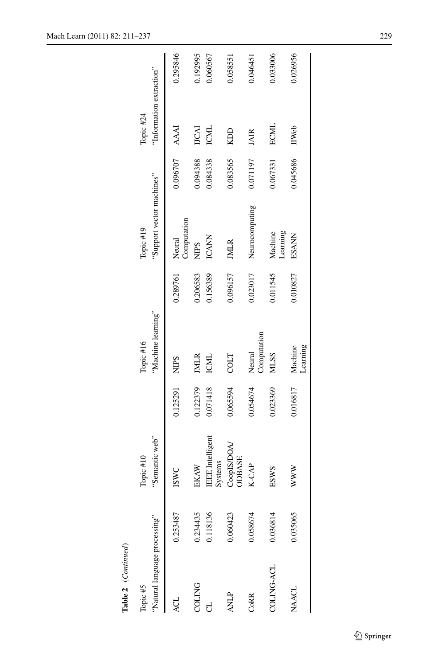| Table 2 (Continued)                        |          |                                        |          |                                 |          |                                        |          |                                       |          |
|--------------------------------------------|----------|----------------------------------------|----------|---------------------------------|----------|----------------------------------------|----------|---------------------------------------|----------|
| 'Natural language processing''<br>Topic #5 |          | "Semantic web"<br>Topic $#10$          |          | "Machine learning"<br>Topic #16 |          | "Support vector machines"<br>Topic #19 |          | "Information extraction"<br>Topic #24 |          |
| ACL                                        | 0.253487 | <b>ISWC</b>                            | 0.125291 | <b>NIPS</b>                     | 0.289761 | Neural<br>Computation                  | 0.096707 | AAAI                                  | 0.295846 |
| <b>COLING</b>                              | 0.234435 | <b>EKAW</b>                            | 0.122379 | <b>JMLR</b>                     | 0.206583 | <b>SdIN</b>                            | 0.094388 | <b>IICAI</b>                          | 0.192995 |
|                                            | 0.118136 | EEE Intelligent<br>Systems             | 0.071418 | <b>ICML</b>                     | 0.156389 | <b>ICANN</b>                           | 0.084338 | <b>ICML</b>                           | 0.060567 |
| <b>ANLP</b>                                | 0.060423 | CoopIS/DOA/<br>ODBASE                  | 0.065594 | COLT                            | 0.096157 | <b>JMLR</b>                            | 0.083565 | KDD                                   | 0.058551 |
| CoRR                                       | 1.058674 | K-CAP                                  | 0.054674 | Neural<br>Computation           | 0.023017 | Neurocomputing                         | 0.071197 | JAIR                                  | 0.046451 |
| COLING-ACL                                 | 0.036814 | ESWS                                   | 0.023369 | <b>MLSS</b>                     | 0.011545 | Learning<br>Machine                    | 0.067331 | ECMI                                  | 0.033006 |
| NAACL                                      | 0.035065 | $\stackrel{\text{W}}{\longrightarrow}$ | 0.016817 | Learning<br>Machine             | 0.010827 | <b>ESANN</b>                           | 0.045686 | <b>IIWeb</b>                          | 0.026956 |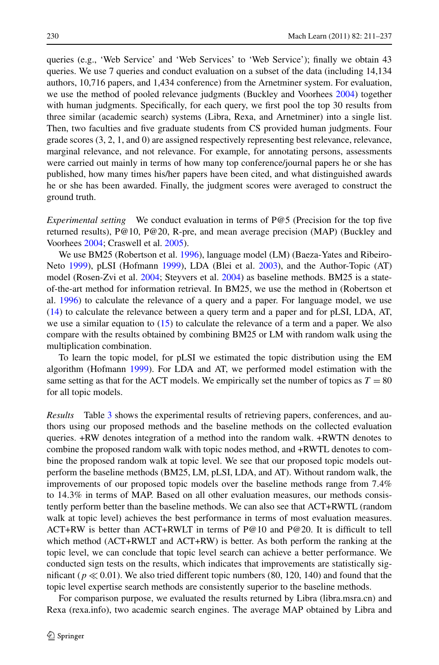queries (e.g., 'Web Service' and 'Web Services' to 'Web Service'); finally we obtain 43 queries. We use 7 queries and conduct evaluation on a subset of the data (including 14,134 authors, 10,716 papers, and 1,434 conference) from the Arnetminer system. For evaluation, we use the method of pooled relevance judgments (Buckley and Voorhees [2004](#page-24-7)) together with human judgments. Specifically, for each query, we first pool the top 30 results from three similar (academic search) systems (Libra, Rexa, and Arnetminer) into a single list. Then, two faculties and five graduate students from CS provided human judgments. Four grade scores (3, 2, 1, and 0) are assigned respectively representing best relevance, relevance, marginal relevance, and not relevance. For example, for annotating persons, assessments were carried out mainly in terms of how many top conference/journal papers he or she has published, how many times his/her papers have been cited, and what distinguished awards he or she has been awarded. Finally, the judgment scores were averaged to construct the ground truth.

*Experimental setting* We conduct evaluation in terms of P@5 (Precision for the top five returned results), P@10, P@20, R-pre, and mean average precision (MAP) (Buckley and Voorhees [2004](#page-24-7); Craswell et al. [2005\)](#page-24-8).

We use BM25 (Robertson et al. [1996](#page-25-17)), language model (LM) (Baeza-Yates and Ribeiro-Neto [1999\)](#page-24-3), pLSI (Hofmann [1999](#page-24-0)), LDA (Blei et al. [2003](#page-24-1)), and the Author-Topic (AT) model (Rosen-Zvi et al. [2004;](#page-25-18) Steyvers et al. [2004](#page-25-5)) as baseline methods. BM25 is a stateof-the-art method for information retrieval. In BM25, we use the method in (Robertson et al. [1996](#page-25-17)) to calculate the relevance of a query and a paper. For language model, we use ([14](#page-11-1)) to calculate the relevance between a query term and a paper and for pLSI, LDA, AT, we use a similar equation to  $(15)$  $(15)$  $(15)$  to calculate the relevance of a term and a paper. We also compare with the results obtained by combining BM25 or LM with random walk using the multiplication combination.

To learn the topic model, for pLSI we estimated the topic distribution using the EM algorithm (Hofmann [1999\)](#page-24-0). For LDA and AT, we performed model estimation with the same setting as that for the ACT models. We empirically set the number of topics as  $T = 80$ for all topic models.

*Results* Table [3](#page-20-0) shows the experimental results of retrieving papers, conferences, and authors using our proposed methods and the baseline methods on the collected evaluation queries. +RW denotes integration of a method into the random walk. +RWTN denotes to combine the proposed random walk with topic nodes method, and +RWTL denotes to combine the proposed random walk at topic level. We see that our proposed topic models outperform the baseline methods (BM25, LM, pLSI, LDA, and AT). Without random walk, the improvements of our proposed topic models over the baseline methods range from 7*.*4% to 14*.*3% in terms of MAP. Based on all other evaluation measures, our methods consistently perform better than the baseline methods. We can also see that ACT+RWTL (random walk at topic level) achieves the best performance in terms of most evaluation measures. ACT+RW is better than ACT+RWLT in terms of P@10 and P@20. It is difficult to tell which method (ACT+RWLT and ACT+RW) is better. As both perform the ranking at the topic level, we can conclude that topic level search can achieve a better performance. We conducted sign tests on the results, which indicates that improvements are statistically significant ( $p \ll 0.01$ ). We also tried different topic numbers (80, 120, 140) and found that the topic level expertise search methods are consistently superior to the baseline methods.

For comparison purpose, we evaluated the results returned by Libra (libra.msra.cn) and Rexa (rexa.info), two academic search engines. The average MAP obtained by Libra and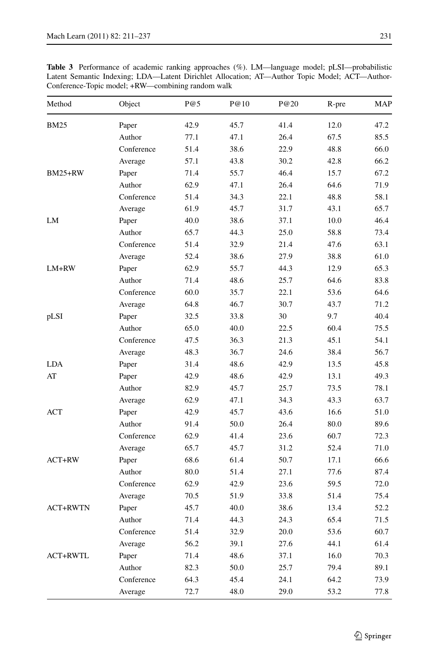<span id="page-20-0"></span>**Table 3** Performance of academic ranking approaches (%). LM—language model; pLSI—probabilistic Latent Semantic Indexing; LDA—Latent Dirichlet Allocation; AT—Author Topic Model; ACT—Author-Conference-Topic model; +RW—combining random walk

| Method          | Object     | P@5  | P@10 | P@20 | R-pre | <b>MAP</b> |
|-----------------|------------|------|------|------|-------|------------|
| <b>BM25</b>     | Paper      | 42.9 | 45.7 | 41.4 | 12.0  | 47.2       |
|                 | Author     | 77.1 | 47.1 | 26.4 | 67.5  | 85.5       |
|                 | Conference | 51.4 | 38.6 | 22.9 | 48.8  | 66.0       |
|                 | Average    | 57.1 | 43.8 | 30.2 | 42.8  | 66.2       |
| BM25+RW         | Paper      | 71.4 | 55.7 | 46.4 | 15.7  | 67.2       |
|                 | Author     | 62.9 | 47.1 | 26.4 | 64.6  | 71.9       |
|                 | Conference | 51.4 | 34.3 | 22.1 | 48.8  | 58.1       |
|                 | Average    | 61.9 | 45.7 | 31.7 | 43.1  | 65.7       |
| LM              | Paper      | 40.0 | 38.6 | 37.1 | 10.0  | 46.4       |
|                 | Author     | 65.7 | 44.3 | 25.0 | 58.8  | 73.4       |
|                 | Conference | 51.4 | 32.9 | 21.4 | 47.6  | 63.1       |
|                 | Average    | 52.4 | 38.6 | 27.9 | 38.8  | 61.0       |
| LM+RW           | Paper      | 62.9 | 55.7 | 44.3 | 12.9  | 65.3       |
| pLSI            | Author     | 71.4 | 48.6 | 25.7 | 64.6  | 83.8       |
|                 | Conference | 60.0 | 35.7 | 22.1 | 53.6  | 64.6       |
|                 | Average    | 64.8 | 46.7 | 30.7 | 43.7  | 71.2       |
| <b>LDA</b>      | Paper      | 32.5 | 33.8 | 30   | 9.7   | 40.4       |
|                 | Author     | 65.0 | 40.0 | 22.5 | 60.4  | 75.5       |
|                 | Conference | 47.5 | 36.3 | 21.3 | 45.1  | 54.1       |
|                 | Average    | 48.3 | 36.7 | 24.6 | 38.4  | 56.7       |
|                 | Paper      | 31.4 | 48.6 | 42.9 | 13.5  | 45.8       |
| AT              | Paper      | 42.9 | 48.6 | 42.9 | 13.1  | 49.3       |
|                 | Author     | 82.9 | 45.7 | 25.7 | 73.5  | 78.1       |
|                 | Average    | 62.9 | 47.1 | 34.3 | 43.3  | 63.7       |
| <b>ACT</b>      | Paper      | 42.9 | 45.7 | 43.6 | 16.6  | 51.0       |
|                 | Author     | 91.4 | 50.0 | 26.4 | 80.0  | 89.6       |
|                 | Conference | 62.9 | 41.4 | 23.6 | 60.7  | 72.3       |
|                 | Average    | 65.7 | 45.7 | 31.2 | 52.4  | 71.0       |
| ACT+RW          | Paper      | 68.6 | 61.4 | 50.7 | 17.1  | 66.6       |
|                 | Author     | 80.0 | 51.4 | 27.1 | 77.6  | 87.4       |
|                 | Conference | 62.9 | 42.9 | 23.6 | 59.5  | 72.0       |
|                 | Average    | 70.5 | 51.9 | 33.8 | 51.4  | 75.4       |
| <b>ACT+RWTN</b> | Paper      | 45.7 | 40.0 | 38.6 | 13.4  | 52.2       |
|                 | Author     | 71.4 | 44.3 | 24.3 | 65.4  | 71.5       |
|                 | Conference | 51.4 | 32.9 | 20.0 | 53.6  | 60.7       |
|                 | Average    | 56.2 | 39.1 | 27.6 | 44.1  | 61.4       |
| <b>ACT+RWTL</b> | Paper      | 71.4 | 48.6 | 37.1 | 16.0  | 70.3       |
|                 | Author     | 82.3 | 50.0 | 25.7 | 79.4  | 89.1       |
|                 | Conference | 64.3 | 45.4 | 24.1 | 64.2  | 73.9       |
|                 | Average    | 72.7 | 48.0 | 29.0 | 53.2  | 77.8       |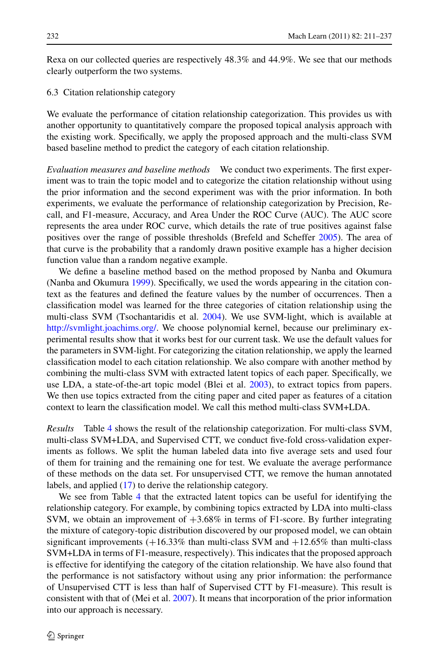Rexa on our collected queries are respectively 48*.*3% and 44*.*9%. We see that our methods clearly outperform the two systems.

#### 6.3 Citation relationship category

We evaluate the performance of citation relationship categorization. This provides us with another opportunity to quantitatively compare the proposed topical analysis approach with the existing work. Specifically, we apply the proposed approach and the multi-class SVM based baseline method to predict the category of each citation relationship.

*Evaluation measures and baseline methods* We conduct two experiments. The first experiment was to train the topic model and to categorize the citation relationship without using the prior information and the second experiment was with the prior information. In both experiments, we evaluate the performance of relationship categorization by Precision, Recall, and F1-measure, Accuracy, and Area Under the ROC Curve (AUC). The AUC score represents the area under ROC curve, which details the rate of true positives against false positives over the range of possible thresholds (Brefeld and Scheffer [2005](#page-24-9)). The area of that curve is the probability that a randomly drawn positive example has a higher decision function value than a random negative example.

We define a baseline method based on the method proposed by Nanba and Okumura (Nanba and Okumura [1999\)](#page-25-19). Specifically, we used the words appearing in the citation context as the features and defined the feature values by the number of occurrences. Then a classification model was learned for the three categories of citation relationship using the multi-class SVM (Tsochantaridis et al. [2004\)](#page-25-20). We use SVM-light, which is available at [http://svmlight.joachims.org/.](http://svmlight.joachims.org/) We choose polynomial kernel, because our preliminary experimental results show that it works best for our current task. We use the default values for the parameters in SVM-light. For categorizing the citation relationship, we apply the learned classification model to each citation relationship. We also compare with another method by combining the multi-class SVM with extracted latent topics of each paper. Specifically, we use LDA, a state-of-the-art topic model (Blei et al. [2003\)](#page-24-1), to extract topics from papers. We then use topics extracted from the citing paper and cited paper as features of a citation context to learn the classification model. We call this method multi-class SVM+LDA.

*Results* Table [4](#page-22-1) shows the result of the relationship categorization. For multi-class SVM, multi-class SVM+LDA, and Supervised CTT, we conduct five-fold cross-validation experiments as follows. We split the human labeled data into five average sets and used four of them for training and the remaining one for test. We evaluate the average performance of these methods on the data set. For unsupervised CTT, we remove the human annotated labels, and applied [\(17\)](#page-12-0) to derive the relationship category.

We see from Table [4](#page-22-1) that the extracted latent topics can be useful for identifying the relationship category. For example, by combining topics extracted by LDA into multi-class SVM, we obtain an improvement of  $+3.68\%$  in terms of F1-score. By further integrating the mixture of category-topic distribution discovered by our proposed model, we can obtain significant improvements  $(+16.33\%$  than multi-class SVM and  $+12.65\%$  than multi-class SVM+LDA in terms of F1-measure, respectively). This indicates that the proposed approach is effective for identifying the category of the citation relationship. We have also found that the performance is not satisfactory without using any prior information: the performance of Unsupervised CTT is less than half of Supervised CTT by F1-measure). This result is consistent with that of (Mei et al. [2007](#page-25-21)). It means that incorporation of the prior information into our approach is necessary.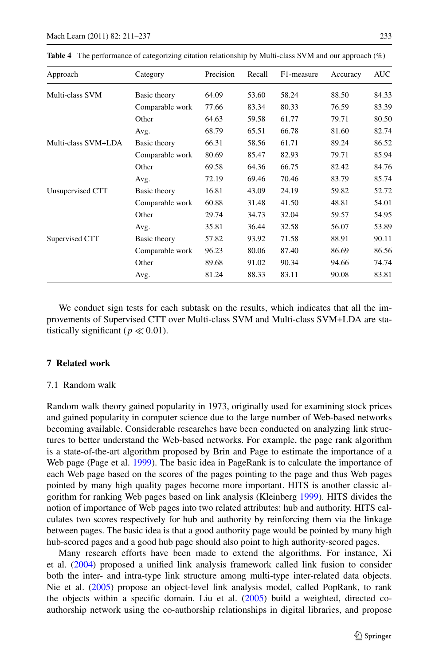| Approach            | Category        | Precision | Recall | F1-measure | Accuracy | AUC   |
|---------------------|-----------------|-----------|--------|------------|----------|-------|
| Multi-class SVM     | Basic theory    | 64.09     | 53.60  | 58.24      | 88.50    | 84.33 |
|                     | Comparable work | 77.66     | 83.34  | 80.33      | 76.59    | 83.39 |
|                     | Other           | 64.63     | 59.58  | 61.77      | 79.71    | 80.50 |
|                     | Avg.            | 68.79     | 65.51  | 66.78      | 81.60    | 82.74 |
| Multi-class SVM+LDA | Basic theory    | 66.31     | 58.56  | 61.71      | 89.24    | 86.52 |
|                     | Comparable work | 80.69     | 85.47  | 82.93      | 79.71    | 85.94 |
|                     | Other           | 69.58     | 64.36  | 66.75      | 82.42    | 84.76 |
|                     | Avg.            | 72.19     | 69.46  | 70.46      | 83.79    | 85.74 |
| Unsupervised CTT    | Basic theory    | 16.81     | 43.09  | 24.19      | 59.82    | 52.72 |
|                     | Comparable work | 60.88     | 31.48  | 41.50      | 48.81    | 54.01 |
|                     | Other           | 29.74     | 34.73  | 32.04      | 59.57    | 54.95 |
|                     | Avg.            | 35.81     | 36.44  | 32.58      | 56.07    | 53.89 |
| Supervised CTT      | Basic theory    | 57.82     | 93.92  | 71.58      | 88.91    | 90.11 |
|                     | Comparable work | 96.23     | 80.06  | 87.40      | 86.69    | 86.56 |
|                     | Other           | 89.68     | 91.02  | 90.34      | 94.66    | 74.74 |
|                     | Avg.            | 81.24     | 88.33  | 83.11      | 90.08    | 83.81 |

<span id="page-22-1"></span>**Table 4** The performance of categorizing citation relationship by Multi-class SVM and our approach (%)

<span id="page-22-0"></span>We conduct sign tests for each subtask on the results, which indicates that all the improvements of Supervised CTT over Multi-class SVM and Multi-class SVM+LDA are statistically significant ( $p \ll 0.01$ ).

#### **7 Related work**

#### 7.1 Random walk

Random walk theory gained popularity in 1973, originally used for examining stock prices and gained popularity in computer science due to the large number of Web-based networks becoming available. Considerable researches have been conducted on analyzing link structures to better understand the Web-based networks. For example, the page rank algorithm is a state-of-the-art algorithm proposed by Brin and Page to estimate the importance of a Web page (Page et al. [1999\)](#page-25-2). The basic idea in PageRank is to calculate the importance of each Web page based on the scores of the pages pointing to the page and thus Web pages pointed by many high quality pages become more important. HITS is another classic algorithm for ranking Web pages based on link analysis (Kleinberg [1999](#page-24-10)). HITS divides the notion of importance of Web pages into two related attributes: hub and authority. HITS calculates two scores respectively for hub and authority by reinforcing them via the linkage between pages. The basic idea is that a good authority page would be pointed by many high hub-scored pages and a good hub page should also point to high authority-scored pages.

Many research efforts have been made to extend the algorithms. For instance, Xi et al. [\(2004](#page-25-22)) proposed a unified link analysis framework called link fusion to consider both the inter- and intra-type link structure among multi-type inter-related data objects. Nie et al. ([2005\)](#page-25-1) propose an object-level link analysis model, called PopRank, to rank the objects within a specific domain. Liu et al. [\(2005](#page-24-11)) build a weighted, directed coauthorship network using the co-authorship relationships in digital libraries, and propose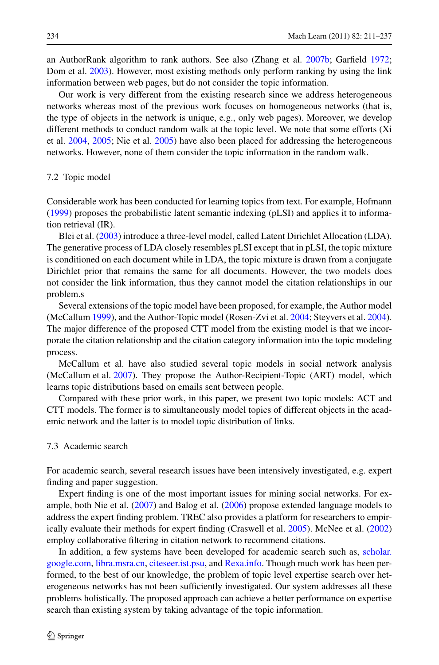an AuthorRank algorithm to rank authors. See also (Zhang et al. [2007b;](#page-26-3) Garfield [1972;](#page-24-12) Dom et al. [2003\)](#page-24-13). However, most existing methods only perform ranking by using the link information between web pages, but do not consider the topic information.

Our work is very different from the existing research since we address heterogeneous networks whereas most of the previous work focuses on homogeneous networks (that is, the type of objects in the network is unique, e.g., only web pages). Moreover, we develop different methods to conduct random walk at the topic level. We note that some efforts (Xi et al. [2004](#page-25-22), [2005](#page-26-4); Nie et al. [2005\)](#page-25-1) have also been placed for addressing the heterogeneous networks. However, none of them consider the topic information in the random walk.

#### 7.2 Topic model

Considerable work has been conducted for learning topics from text. For example, Hofmann ([1999\)](#page-24-0) proposes the probabilistic latent semantic indexing (pLSI) and applies it to information retrieval (IR).

Blei et al. [\(2003](#page-24-1)) introduce a three-level model, called Latent Dirichlet Allocation (LDA). The generative process of LDA closely resembles pLSI except that in pLSI, the topic mixture is conditioned on each document while in LDA, the topic mixture is drawn from a conjugate Dirichlet prior that remains the same for all documents. However, the two models does not consider the link information, thus they cannot model the citation relationships in our problem.s

Several extensions of the topic model have been proposed, for example, the Author model (McCallum [1999](#page-25-23)), and the Author-Topic model (Rosen-Zvi et al. [2004;](#page-25-18) Steyvers et al. [2004](#page-25-5)). The major difference of the proposed CTT model from the existing model is that we incorporate the citation relationship and the citation category information into the topic modeling process.

McCallum et al. have also studied several topic models in social network analysis (McCallum et al. [2007\)](#page-25-3). They propose the Author-Recipient-Topic (ART) model, which learns topic distributions based on emails sent between people.

Compared with these prior work, in this paper, we present two topic models: ACT and CTT models. The former is to simultaneously model topics of different objects in the academic network and the latter is to model topic distribution of links.

# 7.3 Academic search

For academic search, several research issues have been intensively investigated, e.g. expert finding and paper suggestion.

Expert finding is one of the most important issues for mining social networks. For example, both Nie et al. ([2007\)](#page-25-24) and Balog et al. ([2006\)](#page-24-14) propose extended language models to address the expert finding problem. TREC also provides a platform for researchers to empirically evaluate their methods for expert finding (Craswell et al. [2005](#page-24-8)). McNee et al. [\(2002](#page-25-25)) employ collaborative filtering in citation network to recommend citations.

In addition, a few systems have been developed for academic search such as, [scholar.](http://scholar.google.com) [google.com](http://scholar.google.com), [libra.msra.cn](http://libra.msra.cn), [citeseer.ist.psu,](http://citeseer.ist.psu) and [Rexa.info](http://Rexa.info). Though much work has been performed, to the best of our knowledge, the problem of topic level expertise search over heterogeneous networks has not been sufficiently investigated. Our system addresses all these problems holistically. The proposed approach can achieve a better performance on expertise search than existing system by taking advantage of the topic information.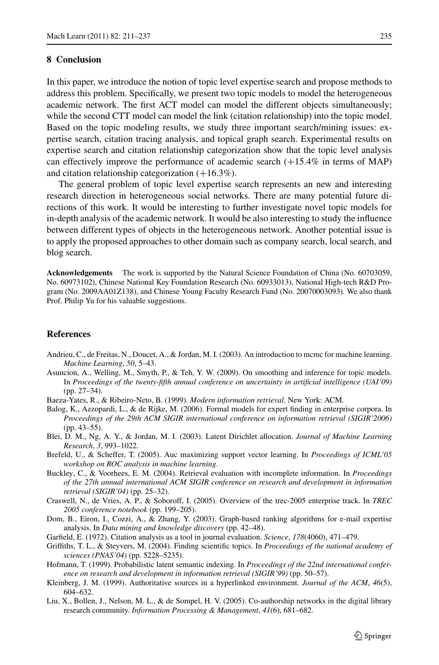### <span id="page-24-2"></span>**8 Conclusion**

In this paper, we introduce the notion of topic level expertise search and propose methods to address this problem. Specifically, we present two topic models to model the heterogeneous academic network. The first ACT model can model the different objects simultaneously; while the second CTT model can model the link (citation relationship) into the topic model. Based on the topic modeling results, we study three important search/mining issues: expertise search, citation tracing analysis, and topical graph search. Experimental results on expertise search and citation relationship categorization show that the topic level analysis can effectively improve the performance of academic search (+15.4% in terms of MAP) and citation relationship categorization  $(+16.3\%)$ .

The general problem of topic level expertise search represents an new and interesting research direction in heterogeneous social networks. There are many potential future directions of this work. It would be interesting to further investigate novel topic models for in-depth analysis of the academic network. It would be also interesting to study the influence between different types of objects in the heterogeneous network. Another potential issue is to apply the proposed approaches to other domain such as company search, local search, and blog search.

<span id="page-24-6"></span><span id="page-24-4"></span>**Acknowledgements** The work is supported by the Natural Science Foundation of China (No. 60703059, No. 60973102), Chinese National Key Foundation Research (No. 60933013), National High-tech R&D Program (No. 2009AA01Z138), and Chinese Young Faculty Research Fund (No. 20070003093). We also thank Prof. Philip Yu for his valuable suggestions.

## <span id="page-24-14"></span><span id="page-24-3"></span>**References**

- <span id="page-24-9"></span><span id="page-24-1"></span>Andrieu, C., de Freitas, N., Doucet, A., & Jordan, M. I. (2003). An introduction to mcmc for machine learning. *Machine Learning*, *50*, 5–43.
- <span id="page-24-7"></span>Asuncion, A., Welling, M., Smyth, P., & Teh, Y. W. (2009). On smoothing and inference for topic models. In *Proceedings of the twenty-fifth annual conference on uncertainty in artificial intelligence (UAI'09)* (pp. 27–34).
- Baeza-Yates, R., & Ribeiro-Neto, B. (1999). *Modern information retrieval*. New York: ACM.
- <span id="page-24-8"></span>Balog, K., Azzopardi, L., & de Rijke, M. (2006). Formal models for expert finding in enterprise corpora. In *Proceedings of the 29th ACM SIGIR international conference on information retrieval (SIGIR'2006)* (pp. 43–55).
- <span id="page-24-13"></span><span id="page-24-12"></span>Blei, D. M., Ng, A. Y., & Jordan, M. I. (2003). Latent Dirichlet allocation. *Journal of Machine Learning Research*, *3*, 993–1022.
- <span id="page-24-5"></span>Brefeld, U., & Scheffer, T. (2005). Auc maximizing support vector learning. In *Proceedings of ICML'05 workshop on ROC analysis in machine learning*.
- <span id="page-24-0"></span>Buckley, C., & Voorhees, E. M. (2004). Retrieval evaluation with incomplete information. In *Proceedings of the 27th annual international ACM SIGIR conference on research and development in information retrieval (SIGIR'04)* (pp. 25–32).
- <span id="page-24-11"></span><span id="page-24-10"></span>Craswell, N., de Vries, A. P., & Soboroff, I. (2005). Overview of the trec-2005 enterprise track. In *TREC 2005 conference notebook* (pp. 199–205).
- Dom, B., Eiron, I., Cozzi, A., & Zhang, Y. (2003). Graph-based ranking algorithms for e-mail expertise analysis. In *Data mining and knowledge discovery* (pp. 42–48).
- Garfield, E. (1972). Citation analysis as a tool in journal evaluation. *Science*, *178*(4060), 471–479.
- Griffiths, T. L., & Steyvers, M. (2004). Finding scientific topics. In *Proceedings of the national academy of sciences (PNAS'04)* (pp. 5228–5235).
- Hofmann, T. (1999). Probabilistic latent semantic indexing. In *Proceedings of the 22nd international conference on research and development in information retrieval (SIGIR'99)* (pp. 50–57).
- Kleinberg, J. M. (1999). Authoritative sources in a hyperlinked environment. *Journal of the ACM*, *46*(5), 604–632.
- Liu, X., Bollen, J., Nelson, M. L., & de Sompel, H. V. (2005). Co-authorship networks in the digital library research community. *Information Processing & Management*, *41*(6), 681–682.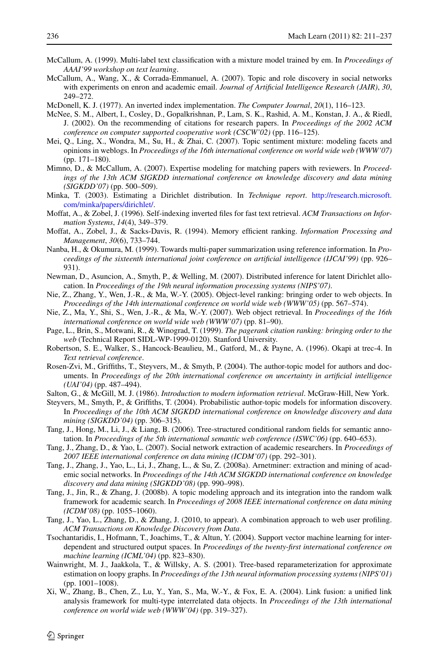- <span id="page-25-25"></span><span id="page-25-23"></span><span id="page-25-21"></span><span id="page-25-14"></span><span id="page-25-3"></span>McCallum, A. (1999). Multi-label text classification with a mixture model trained by em. In *Proceedings of AAAI'99 workshop on text learning*.
- <span id="page-25-4"></span>McCallum, A., Wang, X., & Corrada-Emmanuel, A. (2007). Topic and role discovery in social networks with experiments on enron and academic email. *Journal of Artificial Intelligence Research (JAIR)*, *30*, 249–272.
- <span id="page-25-10"></span>McDonell, K. J. (1977). An inverted index implementation. *The Computer Journal*, *20*(1), 116–123.
- <span id="page-25-12"></span>McNee, S. M., Albert, I., Cosley, D., Gopalkrishnan, P., Lam, S. K., Rashid, A. M., Konstan, J. A., & Riedl, J. (2002). On the recommending of citations for research papers. In *Proceedings of the 2002 ACM conference on computer supported cooperative work (CSCW'02)* (pp. 116–125).
- <span id="page-25-13"></span>Mei, Q., Ling, X., Wondra, M., Su, H., & Zhai, C. (2007). Topic sentiment mixture: modeling facets and opinions in weblogs. In *Proceedings of the 16th international conference on world wide web (WWW'07)* (pp. 171–180).
- <span id="page-25-19"></span>Mimno, D., & McCallum, A. (2007). Expertise modeling for matching papers with reviewers. In *Proceedings of the 13th ACM SIGKDD international conference on knowledge discovery and data mining (SIGKDD'07)* (pp. 500–509).
- <span id="page-25-16"></span><span id="page-25-1"></span>Minka, T. (2003). Estimating a Dirichlet distribution. In *Technique report*. [http://research.microsoft.](http://research.microsoft.com/minka/papers/dirichlet/) [com/minka/papers/dirichlet/.](http://research.microsoft.com/minka/papers/dirichlet/)
- <span id="page-25-24"></span>Moffat, A., & Zobel, J. (1996). Self-indexing inverted files for fast text retrieval. *ACM Transactions on Information Systems*, *14*(4), 349–379.
- <span id="page-25-2"></span>Moffat, A., Zobel, J., & Sacks-Davis, R. (1994). Memory efficient ranking. *Information Processing and Management*, *30*(6), 733–744.
- <span id="page-25-17"></span>Nanba, H., & Okumura, M. (1999). Towards multi-paper summarization using reference information. In *Proceedings of the sixteenth international joint conference on artificial intelligence (IJCAI'99)* (pp. 926– 931).
- <span id="page-25-18"></span>Newman, D., Asuncion, A., Smyth, P., & Welling, M. (2007). Distributed inference for latent Dirichlet allocation. In *Proceedings of the 19th neural information processing systems (NIPS'07)*.
- <span id="page-25-15"></span>Nie, Z., Zhang, Y., Wen, J.-R., & Ma, W.-Y. (2005). Object-level ranking: bringing order to web objects. In *Proceedings of the 14th international conference on world wide web (WWW'05)* (pp. 567–574).
- <span id="page-25-5"></span>Nie, Z., Ma, Y., Shi, S., Wen, J.-R., & Ma, W.-Y. (2007). Web object retrieval. In *Proceedings of the 16th international conference on world wide web (WWW'07)* (pp. 81–90).
- <span id="page-25-7"></span>Page, L., Brin, S., Motwani, R., & Winograd, T. (1999). *The pagerank citation ranking: bringing order to the web* (Technical Report SIDL-WP-1999-0120). Stanford University.
- <span id="page-25-6"></span>Robertson, S. E., Walker, S., Hancock-Beaulieu, M., Gatford, M., & Payne, A. (1996). Okapi at trec-4. In *Text retrieval conference*.
- <span id="page-25-9"></span>Rosen-Zvi, M., Griffiths, T., Steyvers, M., & Smyth, P. (2004). The author-topic model for authors and documents. In *Proceedings of the 20th international conference on uncertainty in artificial intelligence (UAI'04)* (pp. 487–494).
- <span id="page-25-11"></span>Salton, G., & McGill, M. J. (1986). *Introduction to modern information retrieval*. McGraw-Hill, New York.
- Steyvers, M., Smyth, P., & Griffiths, T. (2004). Probabilistic author-topic models for information discovery. In *Proceedings of the 10th ACM SIGKDD international conference on knowledge discovery and data mining (SIGKDD'04)* (pp. 306–315).
- <span id="page-25-0"></span>Tang, J., Hong, M., Li, J., & Liang, B. (2006). Tree-structured conditional random fields for semantic annotation. In *Proceedings of the 5th international semantic web conference (ISWC'06)* (pp. 640–653).
- <span id="page-25-20"></span>Tang, J., Zhang, D., & Yao, L. (2007). Social network extraction of academic researchers. In *Proceedings of 2007 IEEE international conference on data mining (ICDM'07)* (pp. 292–301).
- <span id="page-25-8"></span>Tang, J., Zhang, J., Yao, L., Li, J., Zhang, L., & Su, Z. (2008a). Arnetminer: extraction and mining of academic social networks. In *Proceedings of the 14th ACM SIGKDD international conference on knowledge discovery and data mining (SIGKDD'08)* (pp. 990–998).
- <span id="page-25-22"></span>Tang, J., Jin, R., & Zhang, J. (2008b). A topic modeling approach and its integration into the random walk framework for academic search. In *Proceedings of 2008 IEEE international conference on data mining (ICDM'08)* (pp. 1055–1060).
- Tang, J., Yao, L., Zhang, D., & Zhang, J. (2010, to appear). A combination approach to web user profiling. *ACM Transactions on Knowledge Discovery from Data*.
- Tsochantaridis, I., Hofmann, T., Joachims, T., & Altun, Y. (2004). Support vector machine learning for interdependent and structured output spaces. In *Proceedings of the twenty-first international conference on machine learning (ICML'04)* (pp. 823–830).
- Wainwright, M. J., Jaakkola, T., & Willsky, A. S. (2001). Tree-based reparameterization for approximate estimation on loopy graphs. In *Proceedings of the 13th neural information processing systems (NIPS'01)* (pp. 1001–1008).
- Xi, W., Zhang, B., Chen, Z., Lu, Y., Yan, S., Ma, W.-Y., & Fox, E. A. (2004). Link fusion: a unified link analysis framework for multi-type interrelated data objects. In *Proceedings of the 13th international conference on world wide web (WWW'04)* (pp. 319–327).